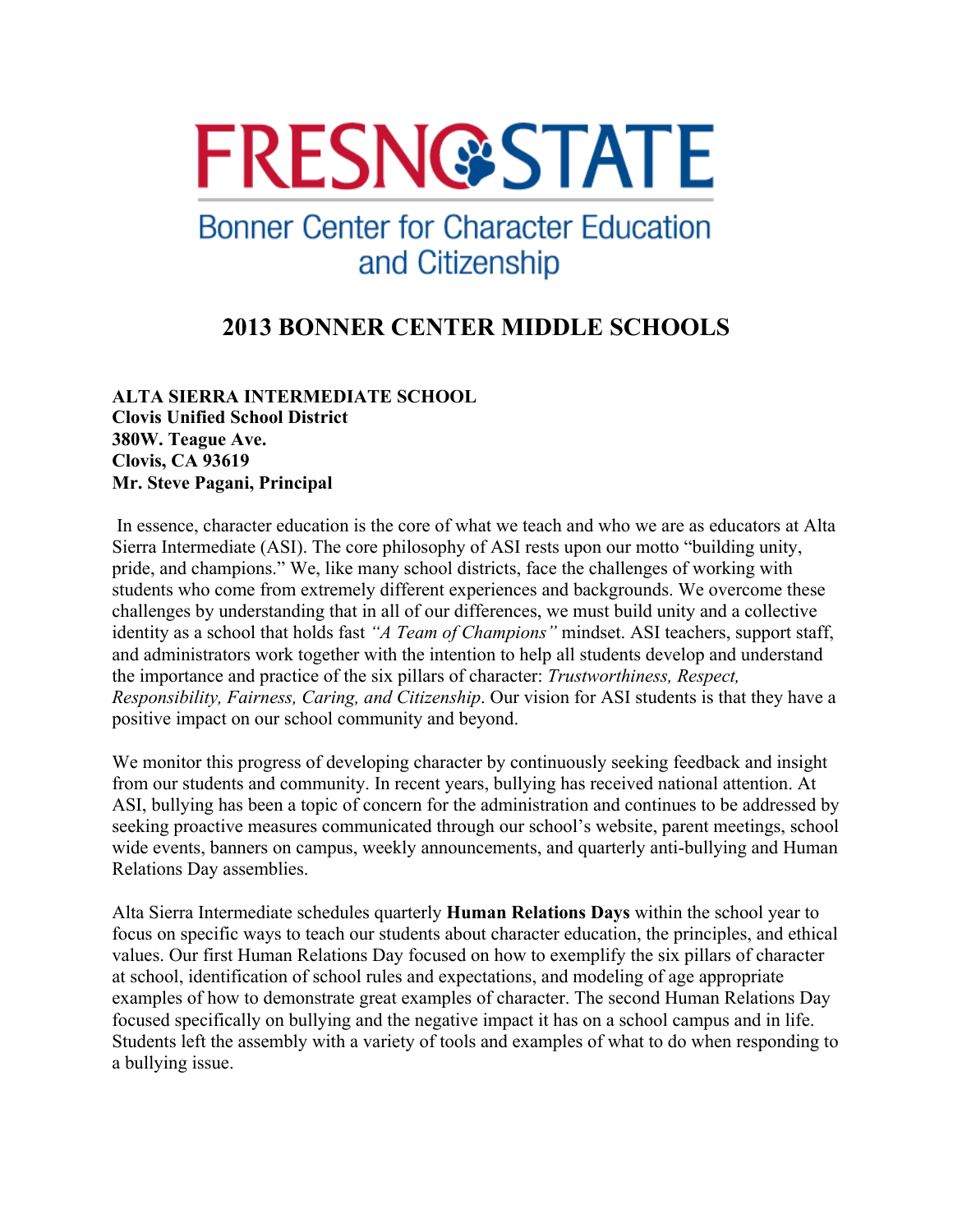# **FRESN@STATE**

## **Bonner Center for Character Education** and Citizenship

### **2013 BONNER CENTER MIDDLE SCHOOLS**

#### **ALTA SIERRA INTERMEDIATE SCHOOL Clovis Unified School District 380W. Teague Ave. Clovis, CA 93619 Mr. Steve Pagani, Principal**

In essence, character education is the core of what we teach and who we are as educators at Alta Sierra Intermediate (ASI). The core philosophy of ASI rests upon our motto "building unity, pride, and champions." We, like many school districts, face the challenges of working with students who come from extremely different experiences and backgrounds. We overcome these challenges by understanding that in all of our differences, we must build unity and a collective identity as a school that holds fast *"A Team of Champions"* mindset. ASI teachers, support staff, and administrators work together with the intention to help all students develop and understand the importance and practice of the six pillars of character: *Trustworthiness, Respect, Responsibility, Fairness, Caring, and Citizenship*. Our vision for ASI students is that they have a positive impact on our school community and beyond.

We monitor this progress of developing character by continuously seeking feedback and insight from our students and community. In recent years, bullying has received national attention. At ASI, bullying has been a topic of concern for the administration and continues to be addressed by seeking proactive measures communicated through our school's website, parent meetings, school wide events, banners on campus, weekly announcements, and quarterly anti-bullying and Human Relations Day assemblies.

Alta Sierra Intermediate schedules quarterly **Human Relations Days** within the school year to focus on specific ways to teach our students about character education, the principles, and ethical values. Our first Human Relations Day focused on how to exemplify the six pillars of character at school, identification of school rules and expectations, and modeling of age appropriate examples of how to demonstrate great examples of character. The second Human Relations Day focused specifically on bullying and the negative impact it has on a school campus and in life. Students left the assembly with a variety of tools and examples of what to do when responding to a bullying issue.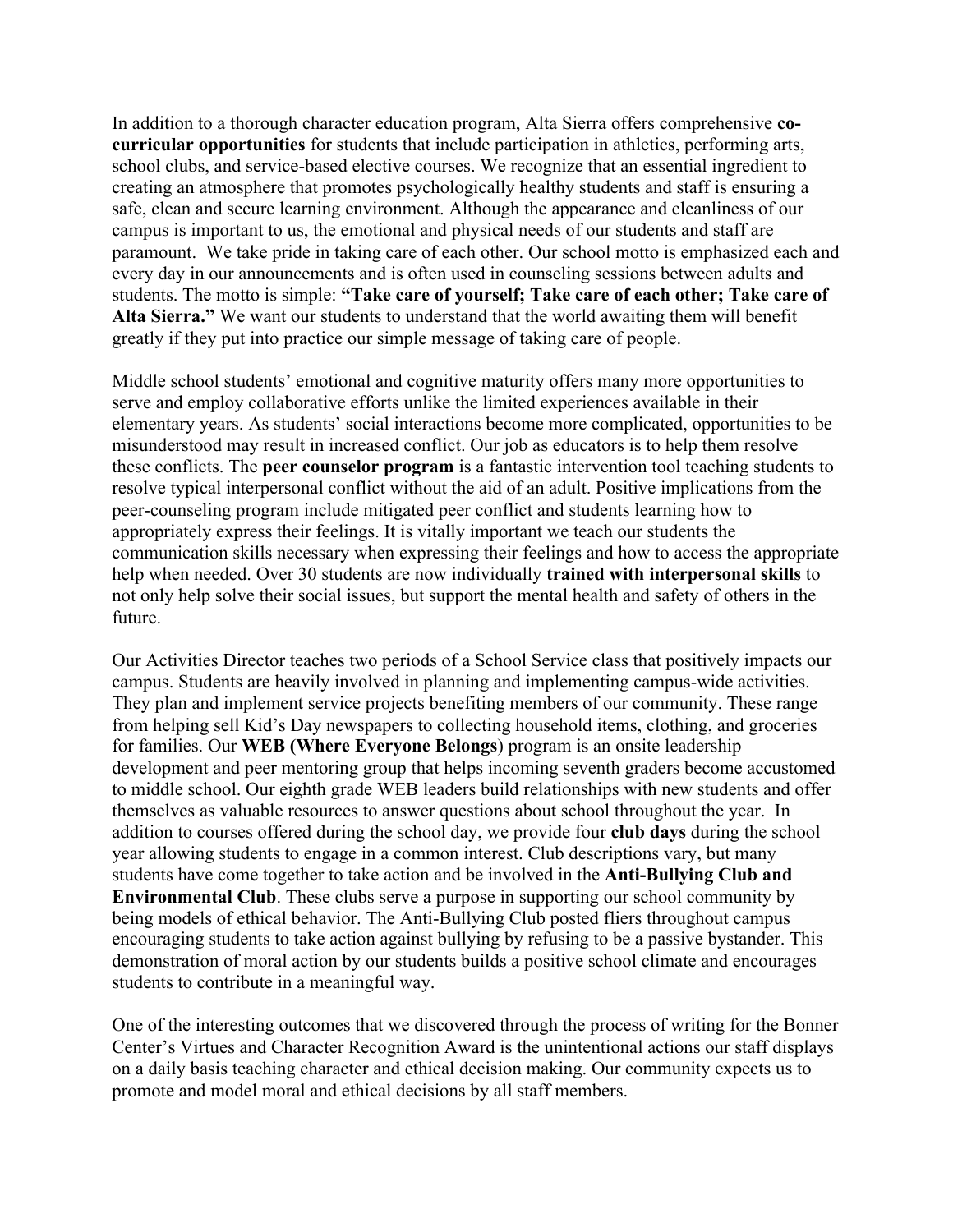In addition to a thorough character education program, Alta Sierra offers comprehensive **cocurricular opportunities** for students that include participation in athletics, performing arts, school clubs, and service-based elective courses. We recognize that an essential ingredient to creating an atmosphere that promotes psychologically healthy students and staff is ensuring a safe, clean and secure learning environment. Although the appearance and cleanliness of our campus is important to us, the emotional and physical needs of our students and staff are paramount. We take pride in taking care of each other. Our school motto is emphasized each and every day in our announcements and is often used in counseling sessions between adults and students. The motto is simple: **"Take care of yourself; Take care of each other; Take care of Alta Sierra."** We want our students to understand that the world awaiting them will benefit greatly if they put into practice our simple message of taking care of people.

Middle school students' emotional and cognitive maturity offers many more opportunities to serve and employ collaborative efforts unlike the limited experiences available in their elementary years. As students' social interactions become more complicated, opportunities to be misunderstood may result in increased conflict. Our job as educators is to help them resolve these conflicts. The **peer counselor program** is a fantastic intervention tool teaching students to resolve typical interpersonal conflict without the aid of an adult. Positive implications from the peer-counseling program include mitigated peer conflict and students learning how to appropriately express their feelings. It is vitally important we teach our students the communication skills necessary when expressing their feelings and how to access the appropriate help when needed. Over 30 students are now individually **trained with interpersonal skills** to not only help solve their social issues, but support the mental health and safety of others in the future.

Our Activities Director teaches two periods of a School Service class that positively impacts our campus. Students are heavily involved in planning and implementing campus-wide activities. They plan and implement service projects benefiting members of our community. These range from helping sell Kid's Day newspapers to collecting household items, clothing, and groceries for families. Our **WEB (Where Everyone Belongs**) program is an onsite leadership development and peer mentoring group that helps incoming seventh graders become accustomed to middle school. Our eighth grade WEB leaders build relationships with new students and offer themselves as valuable resources to answer questions about school throughout the year. In addition to courses offered during the school day, we provide four **club days** during the school year allowing students to engage in a common interest. Club descriptions vary, but many students have come together to take action and be involved in the **Anti-Bullying Club and Environmental Club**. These clubs serve a purpose in supporting our school community by being models of ethical behavior. The Anti-Bullying Club posted fliers throughout campus encouraging students to take action against bullying by refusing to be a passive bystander. This demonstration of moral action by our students builds a positive school climate and encourages students to contribute in a meaningful way.

One of the interesting outcomes that we discovered through the process of writing for the Bonner Center's Virtues and Character Recognition Award is the unintentional actions our staff displays on a daily basis teaching character and ethical decision making. Our community expects us to promote and model moral and ethical decisions by all staff members.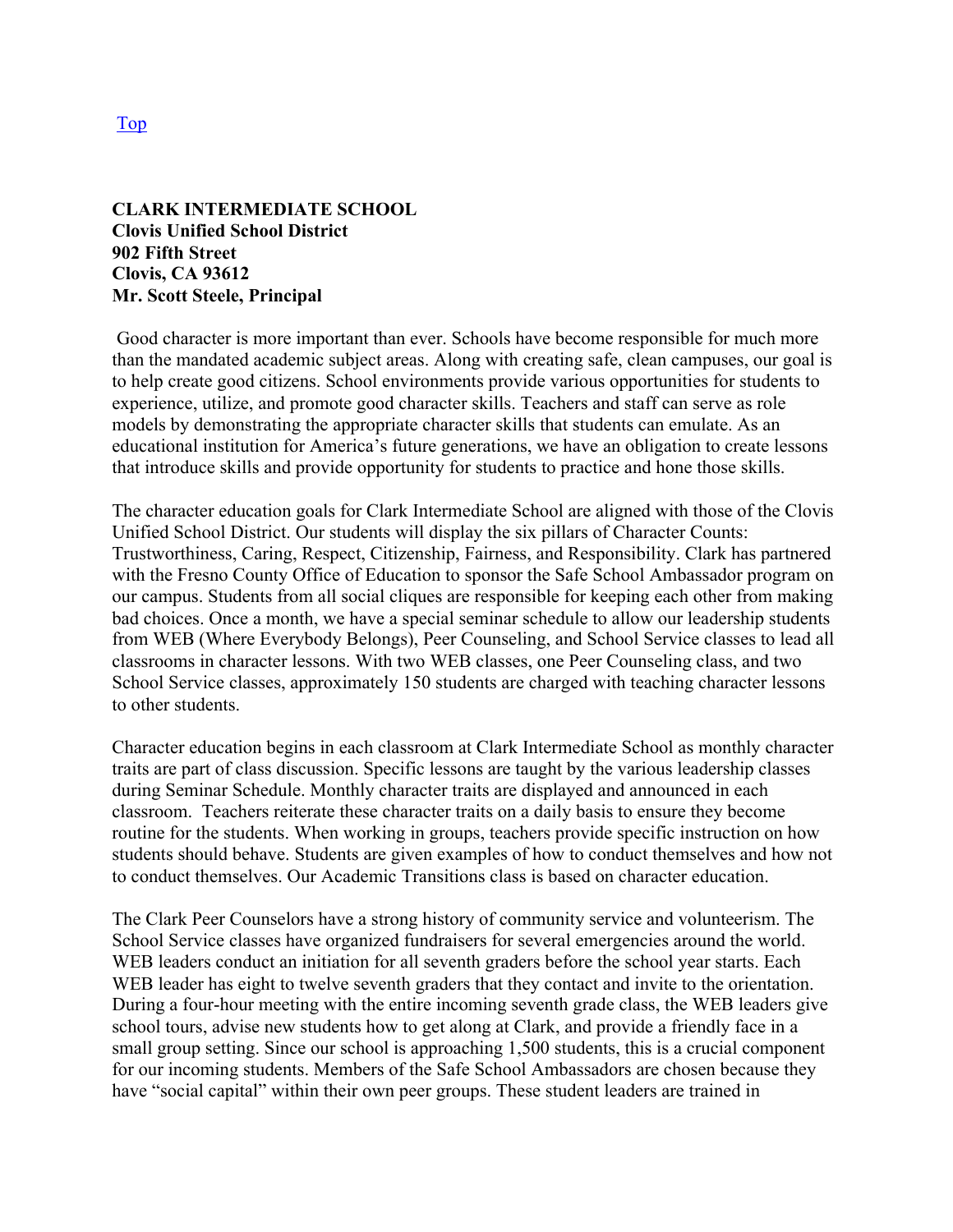#### **CLARK INTERMEDIATE SCHOOL Clovis Unified School District 902 Fifth Street Clovis, CA 93612 Mr. Scott Steele, Principal**

Good character is more important than ever. Schools have become responsible for much more than the mandated academic subject areas. Along with creating safe, clean campuses, our goal is to help create good citizens. School environments provide various opportunities for students to experience, utilize, and promote good character skills. Teachers and staff can serve as role models by demonstrating the appropriate character skills that students can emulate. As an educational institution for America's future generations, we have an obligation to create lessons that introduce skills and provide opportunity for students to practice and hone those skills.

The character education goals for Clark Intermediate School are aligned with those of the Clovis Unified School District. Our students will display the six pillars of Character Counts: Trustworthiness, Caring, Respect, Citizenship, Fairness, and Responsibility. Clark has partnered with the Fresno County Office of Education to sponsor the Safe School Ambassador program on our campus. Students from all social cliques are responsible for keeping each other from making bad choices. Once a month, we have a special seminar schedule to allow our leadership students from WEB (Where Everybody Belongs), Peer Counseling, and School Service classes to lead all classrooms in character lessons. With two WEB classes, one Peer Counseling class, and two School Service classes, approximately 150 students are charged with teaching character lessons to other students.

Character education begins in each classroom at Clark Intermediate School as monthly character traits are part of class discussion. Specific lessons are taught by the various leadership classes during Seminar Schedule. Monthly character traits are displayed and announced in each classroom. Teachers reiterate these character traits on a daily basis to ensure they become routine for the students. When working in groups, teachers provide specific instruction on how students should behave. Students are given examples of how to conduct themselves and how not to conduct themselves. Our Academic Transitions class is based on character education.

The Clark Peer Counselors have a strong history of community service and volunteerism. The School Service classes have organized fundraisers for several emergencies around the world. WEB leaders conduct an initiation for all seventh graders before the school year starts. Each WEB leader has eight to twelve seventh graders that they contact and invite to the orientation. During a four-hour meeting with the entire incoming seventh grade class, the WEB leaders give school tours, advise new students how to get along at Clark, and provide a friendly face in a small group setting. Since our school is approaching 1,500 students, this is a crucial component for our incoming students. Members of the Safe School Ambassadors are chosen because they have "social capital" within their own peer groups. These student leaders are trained in

Top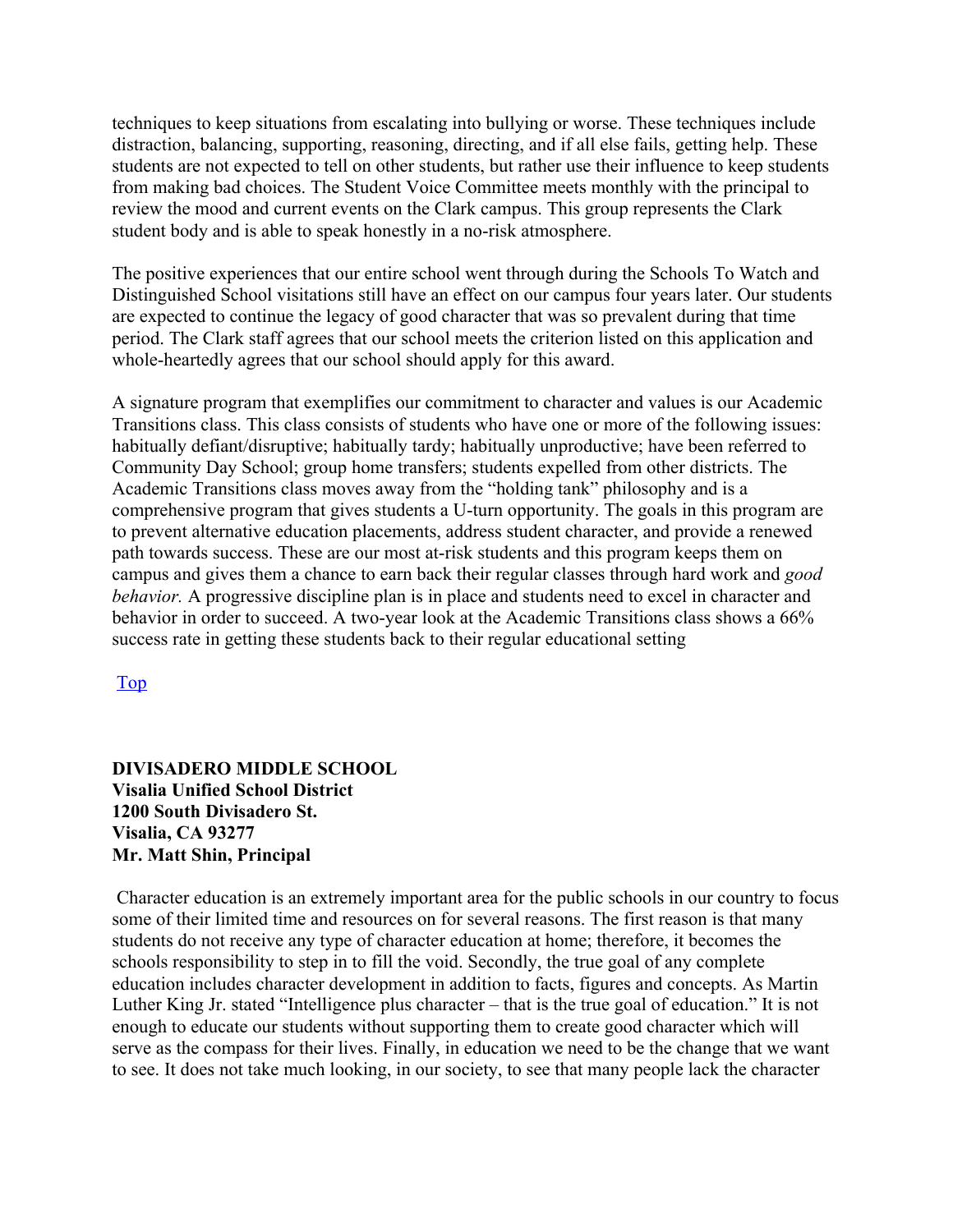techniques to keep situations from escalating into bullying or worse. These techniques include distraction, balancing, supporting, reasoning, directing, and if all else fails, getting help. These students are not expected to tell on other students, but rather use their influence to keep students from making bad choices. The Student Voice Committee meets monthly with the principal to review the mood and current events on the Clark campus. This group represents the Clark student body and is able to speak honestly in a no-risk atmosphere.

The positive experiences that our entire school went through during the Schools To Watch and Distinguished School visitations still have an effect on our campus four years later. Our students are expected to continue the legacy of good character that was so prevalent during that time period. The Clark staff agrees that our school meets the criterion listed on this application and whole-heartedly agrees that our school should apply for this award.

A signature program that exemplifies our commitment to character and values is our Academic Transitions class. This class consists of students who have one or more of the following issues: habitually defiant/disruptive; habitually tardy; habitually unproductive; have been referred to Community Day School; group home transfers; students expelled from other districts. The Academic Transitions class moves away from the "holding tank" philosophy and is a comprehensive program that gives students a U-turn opportunity. The goals in this program are to prevent alternative education placements, address student character, and provide a renewed path towards success. These are our most at-risk students and this program keeps them on campus and gives them a chance to earn back their regular classes through hard work and *good behavior.* A progressive discipline plan is in place and students need to excel in character and behavior in order to succeed. A two-year look at the Academic Transitions class shows a 66% success rate in getting these students back to their regular educational setting

Top

#### **DIVISADERO MIDDLE SCHOOL Visalia Unified School District 1200 South Divisadero St. Visalia, CA 93277 Mr. Matt Shin, Principal**

Character education is an extremely important area for the public schools in our country to focus some of their limited time and resources on for several reasons. The first reason is that many students do not receive any type of character education at home; therefore, it becomes the schools responsibility to step in to fill the void. Secondly, the true goal of any complete education includes character development in addition to facts, figures and concepts. As Martin Luther King Jr. stated "Intelligence plus character – that is the true goal of education." It is not enough to educate our students without supporting them to create good character which will serve as the compass for their lives. Finally, in education we need to be the change that we want to see. It does not take much looking, in our society, to see that many people lack the character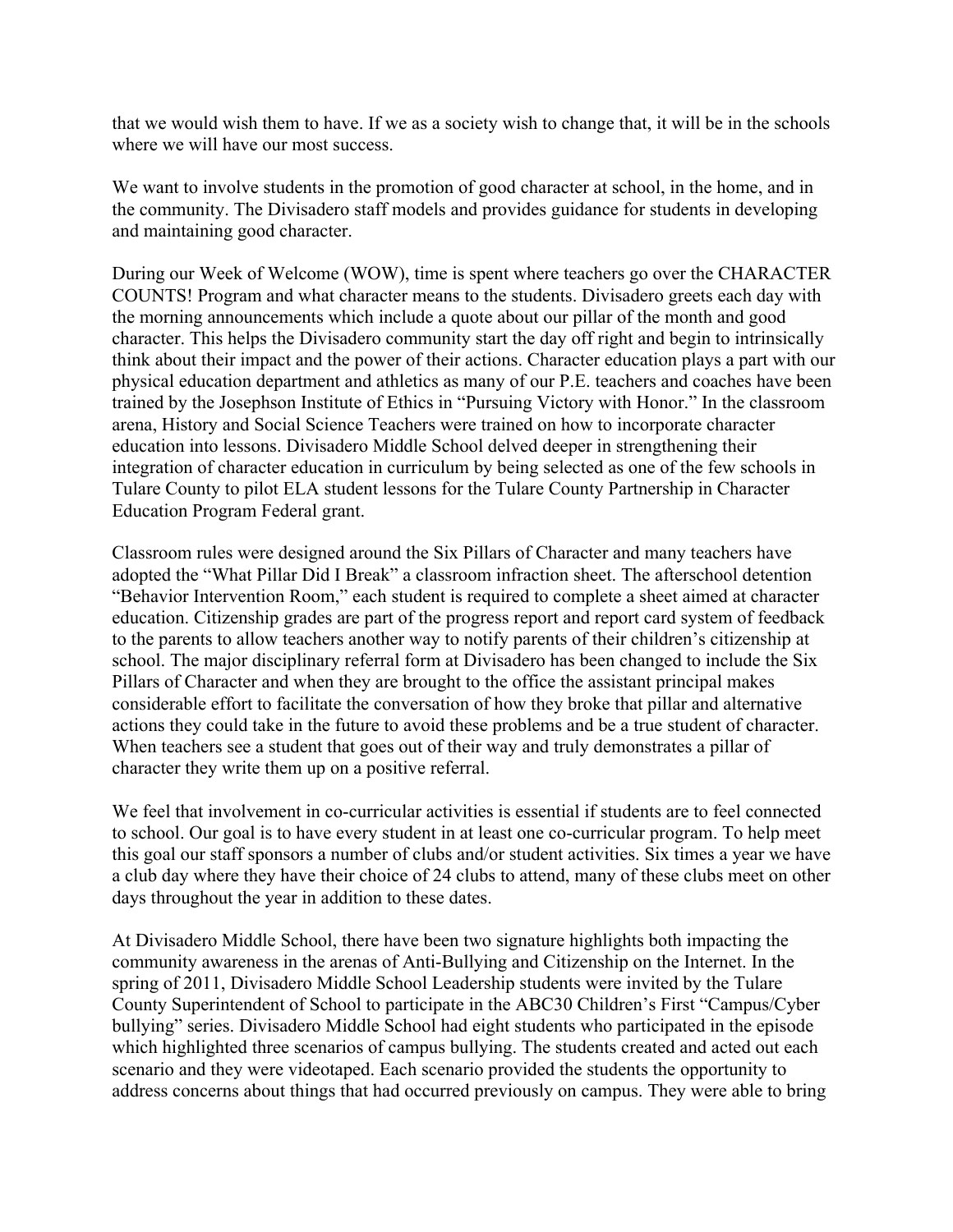that we would wish them to have. If we as a society wish to change that, it will be in the schools where we will have our most success.

We want to involve students in the promotion of good character at school, in the home, and in the community. The Divisadero staff models and provides guidance for students in developing and maintaining good character.

During our Week of Welcome (WOW), time is spent where teachers go over the CHARACTER COUNTS! Program and what character means to the students. Divisadero greets each day with the morning announcements which include a quote about our pillar of the month and good character. This helps the Divisadero community start the day off right and begin to intrinsically think about their impact and the power of their actions. Character education plays a part with our physical education department and athletics as many of our P.E. teachers and coaches have been trained by the Josephson Institute of Ethics in "Pursuing Victory with Honor." In the classroom arena, History and Social Science Teachers were trained on how to incorporate character education into lessons. Divisadero Middle School delved deeper in strengthening their integration of character education in curriculum by being selected as one of the few schools in Tulare County to pilot ELA student lessons for the Tulare County Partnership in Character Education Program Federal grant.

Classroom rules were designed around the Six Pillars of Character and many teachers have adopted the "What Pillar Did I Break" a classroom infraction sheet. The afterschool detention "Behavior Intervention Room," each student is required to complete a sheet aimed at character education. Citizenship grades are part of the progress report and report card system of feedback to the parents to allow teachers another way to notify parents of their children's citizenship at school. The major disciplinary referral form at Divisadero has been changed to include the Six Pillars of Character and when they are brought to the office the assistant principal makes considerable effort to facilitate the conversation of how they broke that pillar and alternative actions they could take in the future to avoid these problems and be a true student of character. When teachers see a student that goes out of their way and truly demonstrates a pillar of character they write them up on a positive referral.

We feel that involvement in co-curricular activities is essential if students are to feel connected to school. Our goal is to have every student in at least one co-curricular program. To help meet this goal our staff sponsors a number of clubs and/or student activities. Six times a year we have a club day where they have their choice of 24 clubs to attend, many of these clubs meet on other days throughout the year in addition to these dates.

At Divisadero Middle School, there have been two signature highlights both impacting the community awareness in the arenas of Anti-Bullying and Citizenship on the Internet. In the spring of 2011, Divisadero Middle School Leadership students were invited by the Tulare County Superintendent of School to participate in the ABC30 Children's First "Campus/Cyber bullying" series. Divisadero Middle School had eight students who participated in the episode which highlighted three scenarios of campus bullying. The students created and acted out each scenario and they were videotaped. Each scenario provided the students the opportunity to address concerns about things that had occurred previously on campus. They were able to bring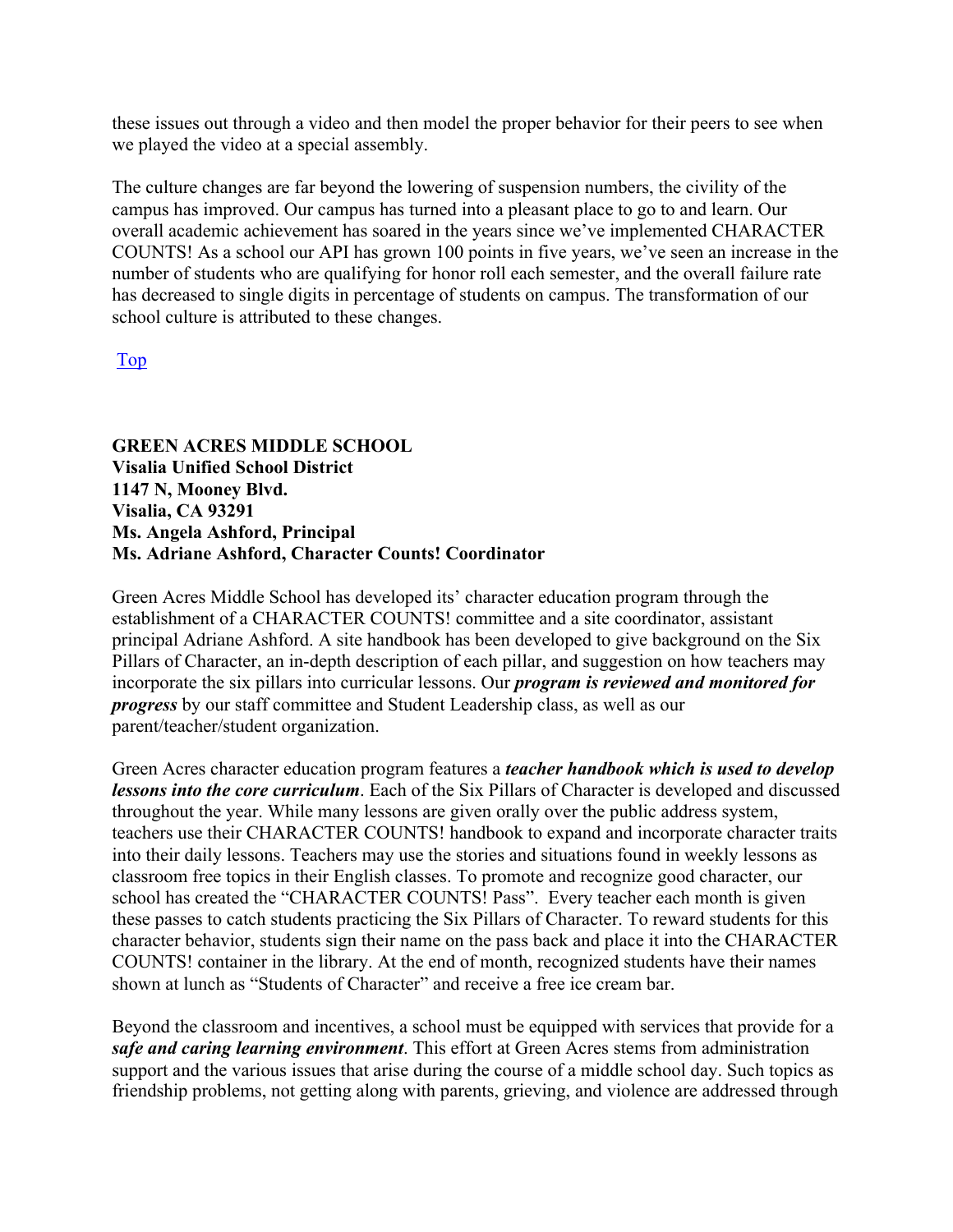these issues out through a video and then model the proper behavior for their peers to see when we played the video at a special assembly.

The culture changes are far beyond the lowering of suspension numbers, the civility of the campus has improved. Our campus has turned into a pleasant place to go to and learn. Our overall academic achievement has soared in the years since we've implemented CHARACTER COUNTS! As a school our API has grown 100 points in five years, we've seen an increase in the number of students who are qualifying for honor roll each semester, and the overall failure rate has decreased to single digits in percentage of students on campus. The transformation of our school culture is attributed to these changes.

Top

**GREEN ACRES MIDDLE SCHOOL Visalia Unified School District 1147 N, Mooney Blvd. Visalia, CA 93291 Ms. Angela Ashford, Principal Ms. Adriane Ashford, Character Counts! Coordinator**

Green Acres Middle School has developed its' character education program through the establishment of a CHARACTER COUNTS! committee and a site coordinator, assistant principal Adriane Ashford. A site handbook has been developed to give background on the Six Pillars of Character, an in-depth description of each pillar, and suggestion on how teachers may incorporate the six pillars into curricular lessons. Our *program is reviewed and monitored for progress* by our staff committee and Student Leadership class, as well as our parent/teacher/student organization.

Green Acres character education program features a *teacher handbook which is used to develop lessons into the core curriculum*. Each of the Six Pillars of Character is developed and discussed throughout the year. While many lessons are given orally over the public address system, teachers use their CHARACTER COUNTS! handbook to expand and incorporate character traits into their daily lessons. Teachers may use the stories and situations found in weekly lessons as classroom free topics in their English classes. To promote and recognize good character, our school has created the "CHARACTER COUNTS! Pass". Every teacher each month is given these passes to catch students practicing the Six Pillars of Character. To reward students for this character behavior, students sign their name on the pass back and place it into the CHARACTER COUNTS! container in the library. At the end of month, recognized students have their names shown at lunch as "Students of Character" and receive a free ice cream bar.

Beyond the classroom and incentives, a school must be equipped with services that provide for a *safe and caring learning environment*. This effort at Green Acres stems from administration support and the various issues that arise during the course of a middle school day. Such topics as friendship problems, not getting along with parents, grieving, and violence are addressed through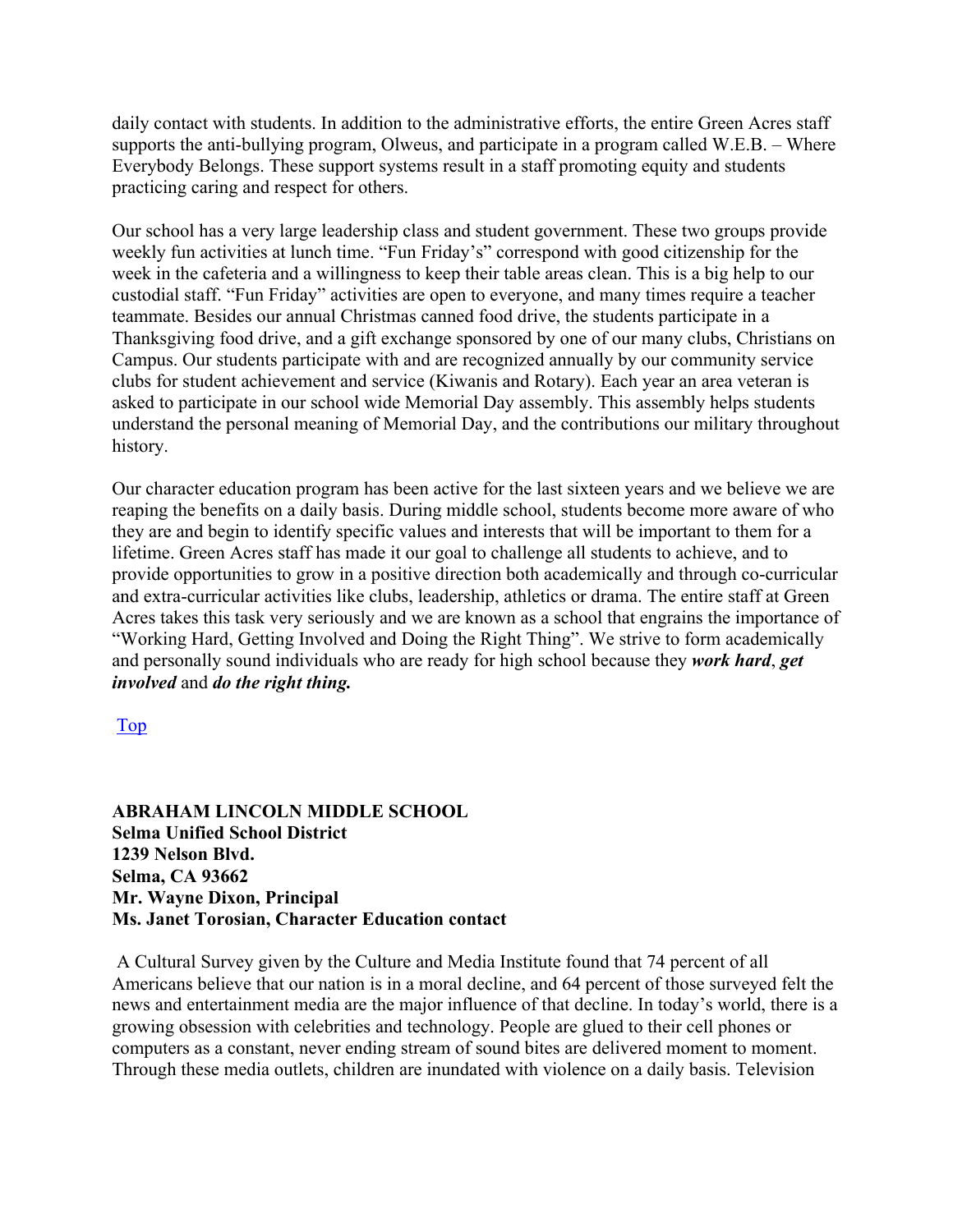daily contact with students. In addition to the administrative efforts, the entire Green Acres staff supports the anti-bullying program, Olweus, and participate in a program called W.E.B. – Where Everybody Belongs. These support systems result in a staff promoting equity and students practicing caring and respect for others.

Our school has a very large leadership class and student government. These two groups provide weekly fun activities at lunch time. "Fun Friday's" correspond with good citizenship for the week in the cafeteria and a willingness to keep their table areas clean. This is a big help to our custodial staff. "Fun Friday" activities are open to everyone, and many times require a teacher teammate. Besides our annual Christmas canned food drive, the students participate in a Thanksgiving food drive, and a gift exchange sponsored by one of our many clubs, Christians on Campus. Our students participate with and are recognized annually by our community service clubs for student achievement and service (Kiwanis and Rotary). Each year an area veteran is asked to participate in our school wide Memorial Day assembly. This assembly helps students understand the personal meaning of Memorial Day, and the contributions our military throughout history.

Our character education program has been active for the last sixteen years and we believe we are reaping the benefits on a daily basis. During middle school, students become more aware of who they are and begin to identify specific values and interests that will be important to them for a lifetime. Green Acres staff has made it our goal to challenge all students to achieve, and to provide opportunities to grow in a positive direction both academically and through co-curricular and extra-curricular activities like clubs, leadership, athletics or drama. The entire staff at Green Acres takes this task very seriously and we are known as a school that engrains the importance of "Working Hard, Getting Involved and Doing the Right Thing". We strive to form academically and personally sound individuals who are ready for high school because they *work hard*, *get involved* and *do the right thing.*

Top

**ABRAHAM LINCOLN MIDDLE SCHOOL Selma Unified School District 1239 Nelson Blvd. Selma, CA 93662 Mr. Wayne Dixon, Principal Ms. Janet Torosian, Character Education contact**

A Cultural Survey given by the Culture and Media Institute found that 74 percent of all Americans believe that our nation is in a moral decline, and 64 percent of those surveyed felt the news and entertainment media are the major influence of that decline. In today's world, there is a growing obsession with celebrities and technology. People are glued to their cell phones or computers as a constant, never ending stream of sound bites are delivered moment to moment. Through these media outlets, children are inundated with violence on a daily basis. Television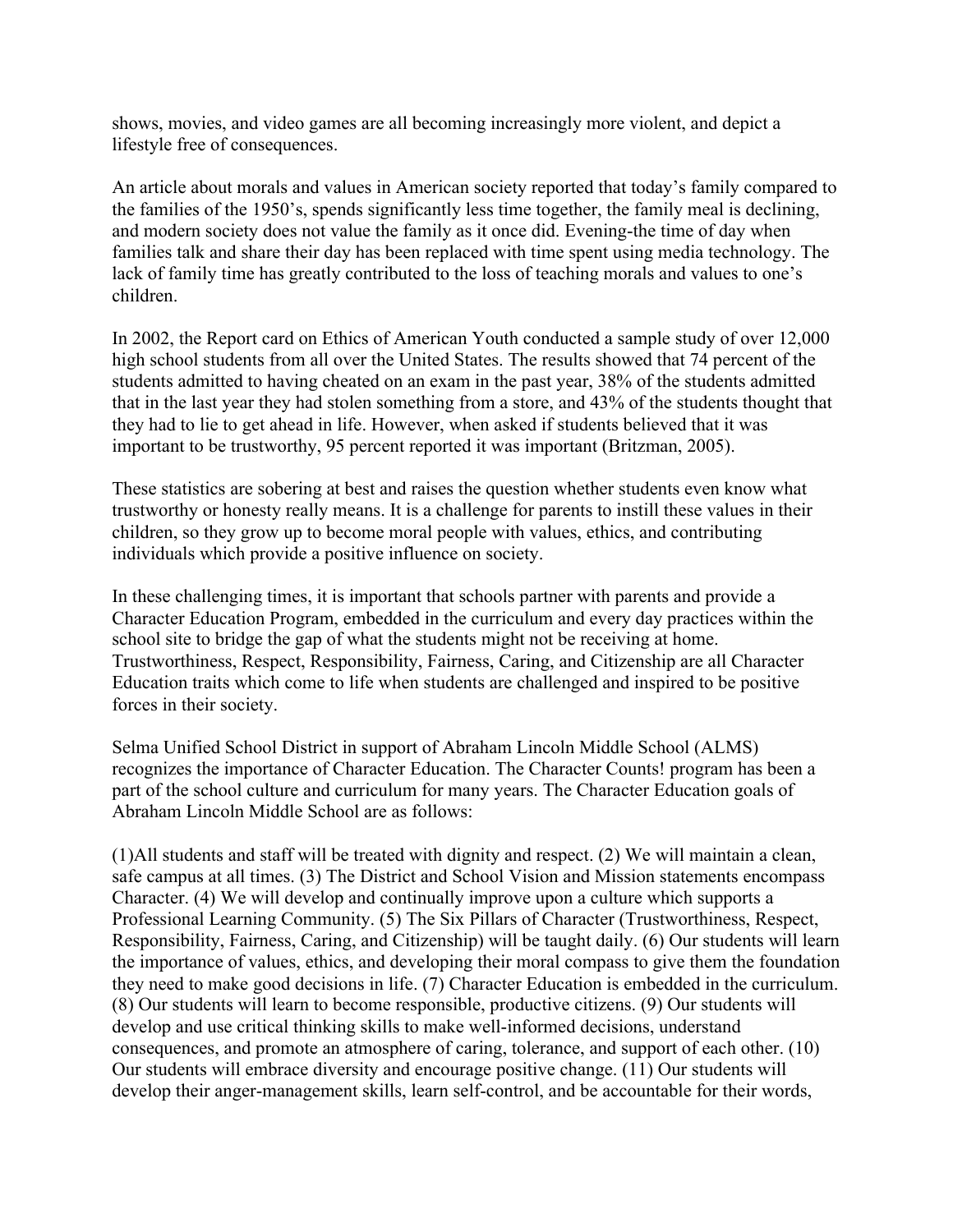shows, movies, and video games are all becoming increasingly more violent, and depict a lifestyle free of consequences.

An article about morals and values in American society reported that today's family compared to the families of the 1950's, spends significantly less time together, the family meal is declining, and modern society does not value the family as it once did. Evening-the time of day when families talk and share their day has been replaced with time spent using media technology. The lack of family time has greatly contributed to the loss of teaching morals and values to one's children.

In 2002, the Report card on Ethics of American Youth conducted a sample study of over 12,000 high school students from all over the United States. The results showed that 74 percent of the students admitted to having cheated on an exam in the past year, 38% of the students admitted that in the last year they had stolen something from a store, and 43% of the students thought that they had to lie to get ahead in life. However, when asked if students believed that it was important to be trustworthy, 95 percent reported it was important (Britzman, 2005).

These statistics are sobering at best and raises the question whether students even know what trustworthy or honesty really means. It is a challenge for parents to instill these values in their children, so they grow up to become moral people with values, ethics, and contributing individuals which provide a positive influence on society.

In these challenging times, it is important that schools partner with parents and provide a Character Education Program, embedded in the curriculum and every day practices within the school site to bridge the gap of what the students might not be receiving at home. Trustworthiness, Respect, Responsibility, Fairness, Caring, and Citizenship are all Character Education traits which come to life when students are challenged and inspired to be positive forces in their society.

Selma Unified School District in support of Abraham Lincoln Middle School (ALMS) recognizes the importance of Character Education. The Character Counts! program has been a part of the school culture and curriculum for many years. The Character Education goals of Abraham Lincoln Middle School are as follows:

(1)All students and staff will be treated with dignity and respect. (2) We will maintain a clean, safe campus at all times. (3) The District and School Vision and Mission statements encompass Character. (4) We will develop and continually improve upon a culture which supports a Professional Learning Community. (5) The Six Pillars of Character (Trustworthiness, Respect, Responsibility, Fairness, Caring, and Citizenship) will be taught daily. (6) Our students will learn the importance of values, ethics, and developing their moral compass to give them the foundation they need to make good decisions in life. (7) Character Education is embedded in the curriculum. (8) Our students will learn to become responsible, productive citizens. (9) Our students will develop and use critical thinking skills to make well-informed decisions, understand consequences, and promote an atmosphere of caring, tolerance, and support of each other. (10) Our students will embrace diversity and encourage positive change. (11) Our students will develop their anger-management skills, learn self-control, and be accountable for their words,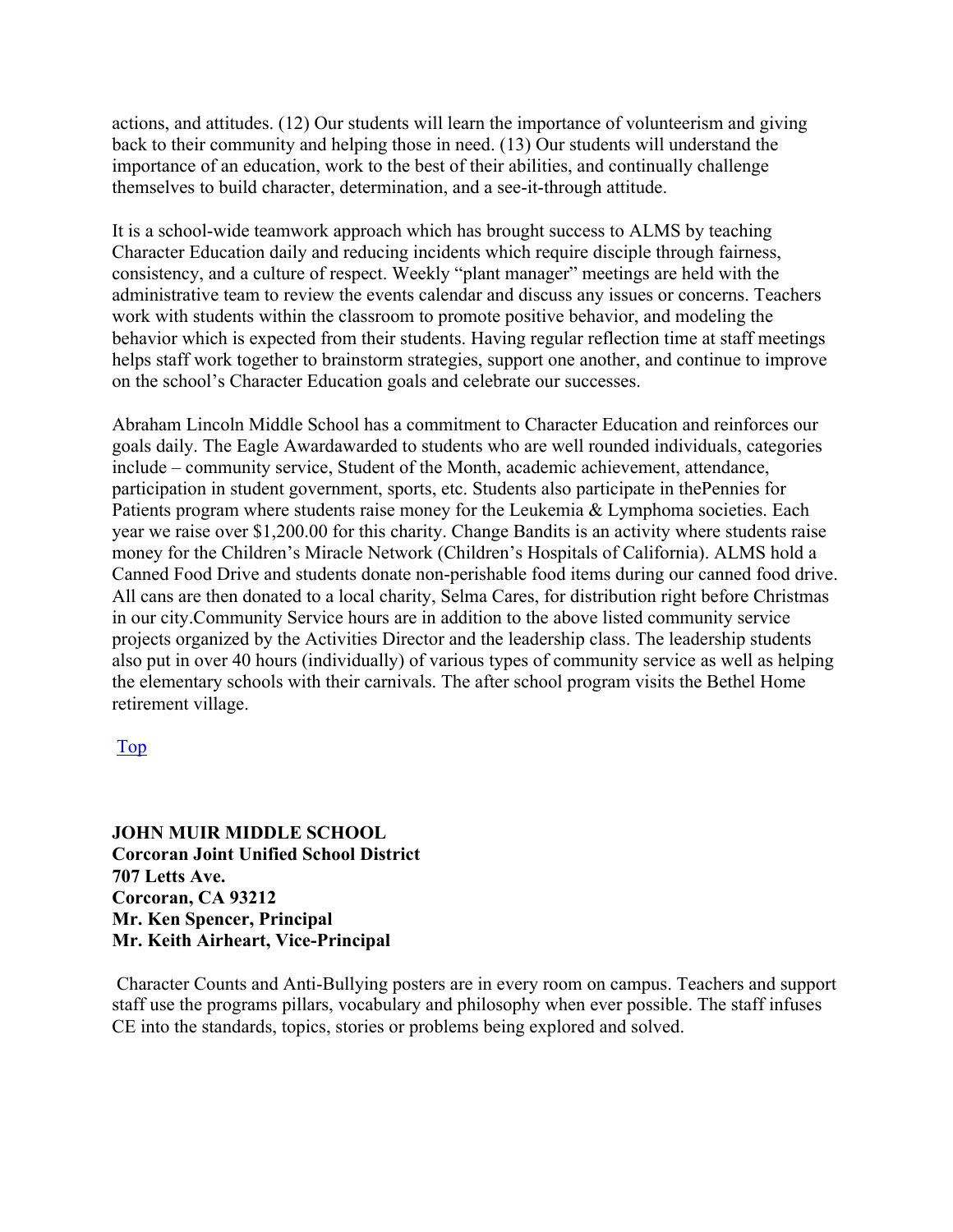actions, and attitudes. (12) Our students will learn the importance of volunteerism and giving back to their community and helping those in need. (13) Our students will understand the importance of an education, work to the best of their abilities, and continually challenge themselves to build character, determination, and a see-it-through attitude.

It is a school-wide teamwork approach which has brought success to ALMS by teaching Character Education daily and reducing incidents which require disciple through fairness, consistency, and a culture of respect. Weekly "plant manager" meetings are held with the administrative team to review the events calendar and discuss any issues or concerns. Teachers work with students within the classroom to promote positive behavior, and modeling the behavior which is expected from their students. Having regular reflection time at staff meetings helps staff work together to brainstorm strategies, support one another, and continue to improve on the school's Character Education goals and celebrate our successes.

Abraham Lincoln Middle School has a commitment to Character Education and reinforces our goals daily. The Eagle Awardawarded to students who are well rounded individuals, categories include – community service, Student of the Month, academic achievement, attendance, participation in student government, sports, etc. Students also participate in thePennies for Patients program where students raise money for the Leukemia & Lymphoma societies. Each year we raise over \$1,200.00 for this charity. Change Bandits is an activity where students raise money for the Children's Miracle Network (Children's Hospitals of California). ALMS hold a Canned Food Drive and students donate non-perishable food items during our canned food drive. All cans are then donated to a local charity, Selma Cares, for distribution right before Christmas in our city.Community Service hours are in addition to the above listed community service projects organized by the Activities Director and the leadership class. The leadership students also put in over 40 hours (individually) of various types of community service as well as helping the elementary schools with their carnivals. The after school program visits the Bethel Home retirement village.

#### Top

**JOHN MUIR MIDDLE SCHOOL Corcoran Joint Unified School District 707 Letts Ave. Corcoran, CA 93212 Mr. Ken Spencer, Principal Mr. Keith Airheart, Vice-Principal**

Character Counts and Anti-Bullying posters are in every room on campus. Teachers and support staff use the programs pillars, vocabulary and philosophy when ever possible. The staff infuses CE into the standards, topics, stories or problems being explored and solved.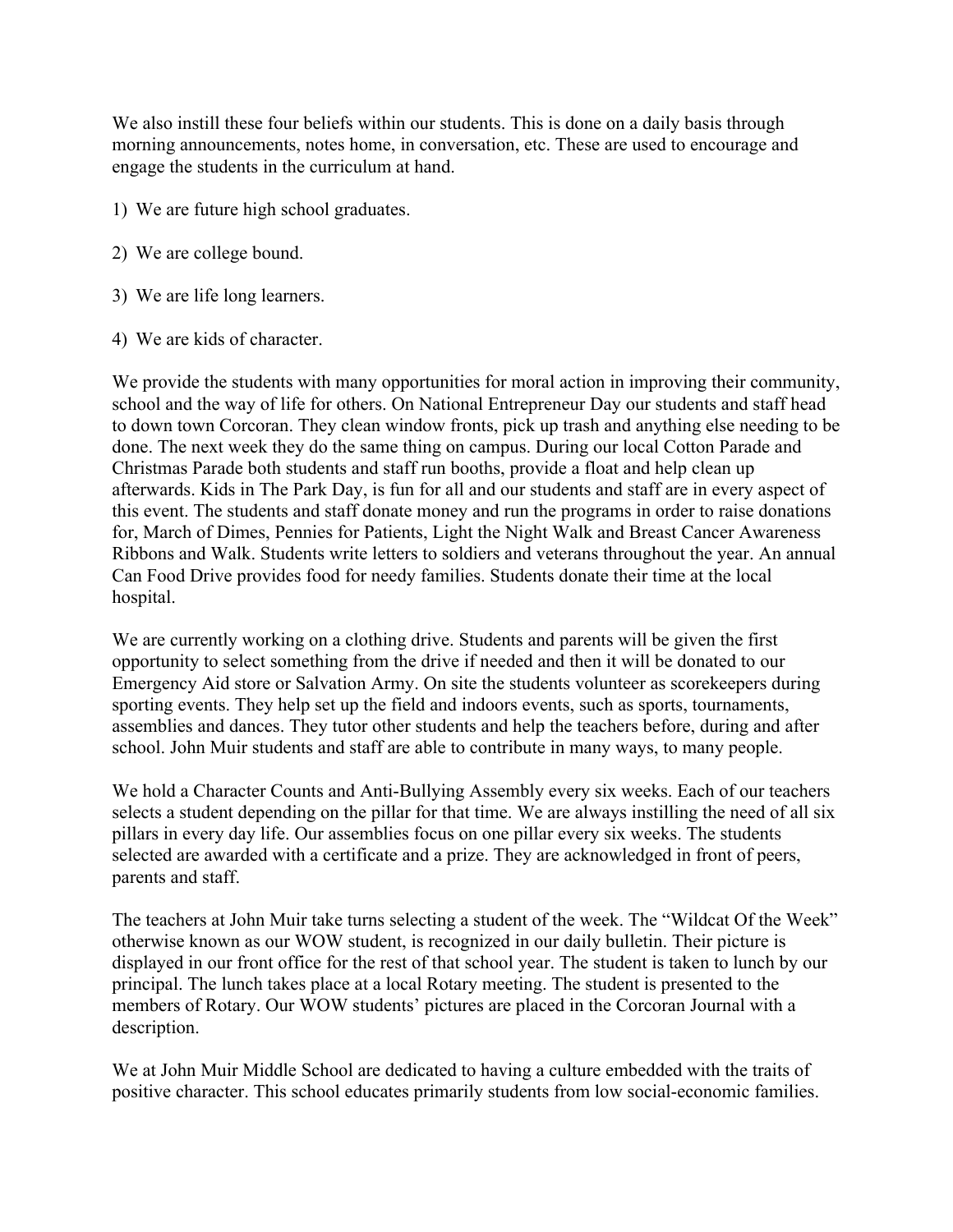We also instill these four beliefs within our students. This is done on a daily basis through morning announcements, notes home, in conversation, etc. These are used to encourage and engage the students in the curriculum at hand.

- 1) We are future high school graduates.
- 2) We are college bound.
- 3) We are life long learners.
- 4) We are kids of character.

We provide the students with many opportunities for moral action in improving their community, school and the way of life for others. On National Entrepreneur Day our students and staff head to down town Corcoran. They clean window fronts, pick up trash and anything else needing to be done. The next week they do the same thing on campus. During our local Cotton Parade and Christmas Parade both students and staff run booths, provide a float and help clean up afterwards. Kids in The Park Day, is fun for all and our students and staff are in every aspect of this event. The students and staff donate money and run the programs in order to raise donations for, March of Dimes, Pennies for Patients, Light the Night Walk and Breast Cancer Awareness Ribbons and Walk. Students write letters to soldiers and veterans throughout the year. An annual Can Food Drive provides food for needy families. Students donate their time at the local hospital.

We are currently working on a clothing drive. Students and parents will be given the first opportunity to select something from the drive if needed and then it will be donated to our Emergency Aid store or Salvation Army. On site the students volunteer as scorekeepers during sporting events. They help set up the field and indoors events, such as sports, tournaments, assemblies and dances. They tutor other students and help the teachers before, during and after school. John Muir students and staff are able to contribute in many ways, to many people.

We hold a Character Counts and Anti-Bullying Assembly every six weeks. Each of our teachers selects a student depending on the pillar for that time. We are always instilling the need of all six pillars in every day life. Our assemblies focus on one pillar every six weeks. The students selected are awarded with a certificate and a prize. They are acknowledged in front of peers, parents and staff.

The teachers at John Muir take turns selecting a student of the week. The "Wildcat Of the Week" otherwise known as our WOW student, is recognized in our daily bulletin. Their picture is displayed in our front office for the rest of that school year. The student is taken to lunch by our principal. The lunch takes place at a local Rotary meeting. The student is presented to the members of Rotary. Our WOW students' pictures are placed in the Corcoran Journal with a description.

We at John Muir Middle School are dedicated to having a culture embedded with the traits of positive character. This school educates primarily students from low social-economic families.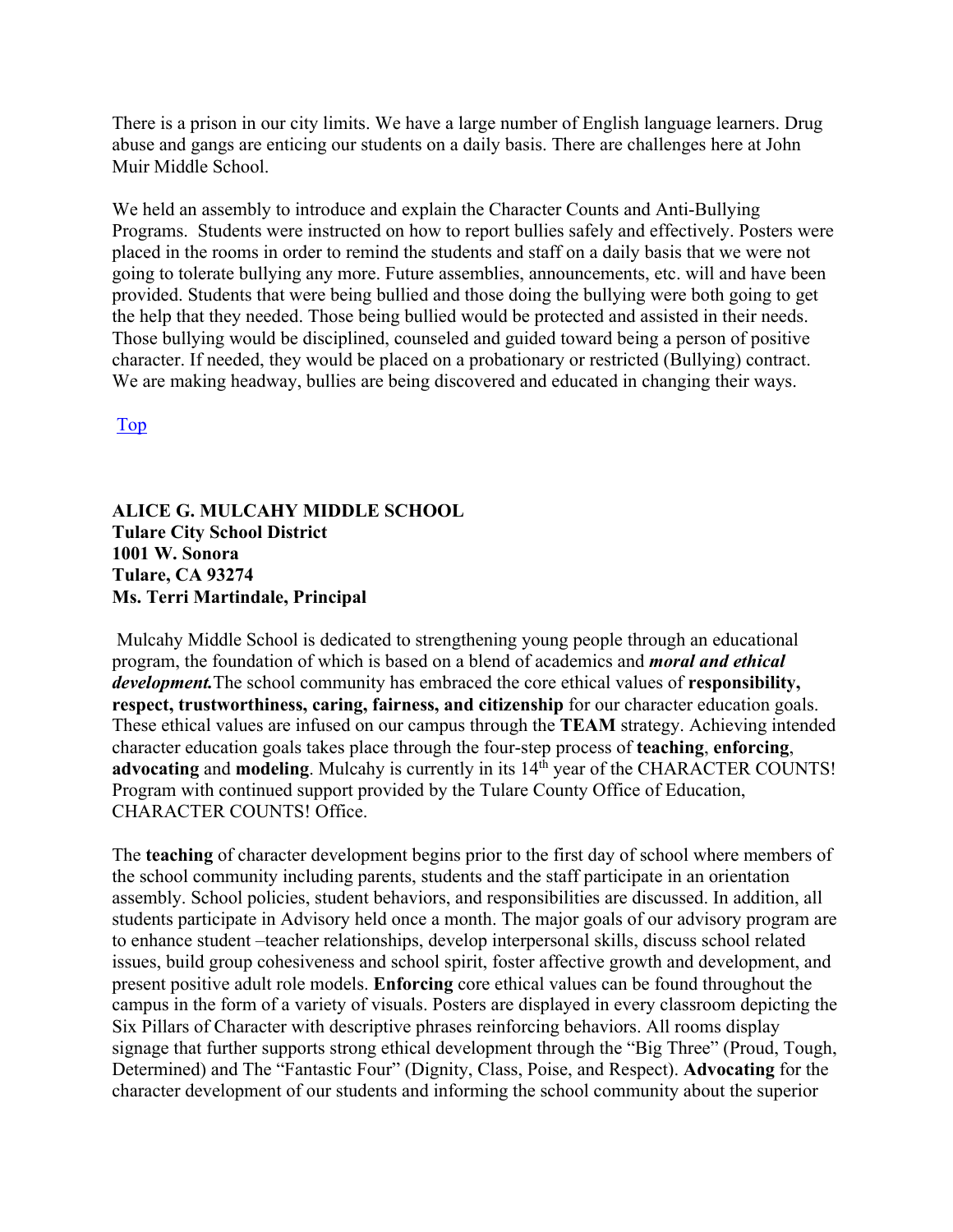There is a prison in our city limits. We have a large number of English language learners. Drug abuse and gangs are enticing our students on a daily basis. There are challenges here at John Muir Middle School.

We held an assembly to introduce and explain the Character Counts and Anti-Bullying Programs. Students were instructed on how to report bullies safely and effectively. Posters were placed in the rooms in order to remind the students and staff on a daily basis that we were not going to tolerate bullying any more. Future assemblies, announcements, etc. will and have been provided. Students that were being bullied and those doing the bullying were both going to get the help that they needed. Those being bullied would be protected and assisted in their needs. Those bullying would be disciplined, counseled and guided toward being a person of positive character. If needed, they would be placed on a probationary or restricted (Bullying) contract. We are making headway, bullies are being discovered and educated in changing their ways.

Top

#### **ALICE G. MULCAHY MIDDLE SCHOOL Tulare City School District 1001 W. Sonora Tulare, CA 93274 Ms. Terri Martindale, Principal**

Mulcahy Middle School is dedicated to strengthening young people through an educational program, the foundation of which is based on a blend of academics and *moral and ethical development.*The school community has embraced the core ethical values of **responsibility, respect, trustworthiness, caring, fairness, and citizenship** for our character education goals. These ethical values are infused on our campus through the **TEAM** strategy. Achieving intended character education goals takes place through the four-step process of **teaching**, **enforcing**, advocating and modeling. Mulcahy is currently in its 14<sup>th</sup> year of the CHARACTER COUNTS! Program with continued support provided by the Tulare County Office of Education, CHARACTER COUNTS! Office.

The **teaching** of character development begins prior to the first day of school where members of the school community including parents, students and the staff participate in an orientation assembly. School policies, student behaviors, and responsibilities are discussed. In addition, all students participate in Advisory held once a month. The major goals of our advisory program are to enhance student –teacher relationships, develop interpersonal skills, discuss school related issues, build group cohesiveness and school spirit, foster affective growth and development, and present positive adult role models. **Enforcing** core ethical values can be found throughout the campus in the form of a variety of visuals. Posters are displayed in every classroom depicting the Six Pillars of Character with descriptive phrases reinforcing behaviors. All rooms display signage that further supports strong ethical development through the "Big Three" (Proud, Tough, Determined) and The "Fantastic Four" (Dignity, Class, Poise, and Respect). **Advocating** for the character development of our students and informing the school community about the superior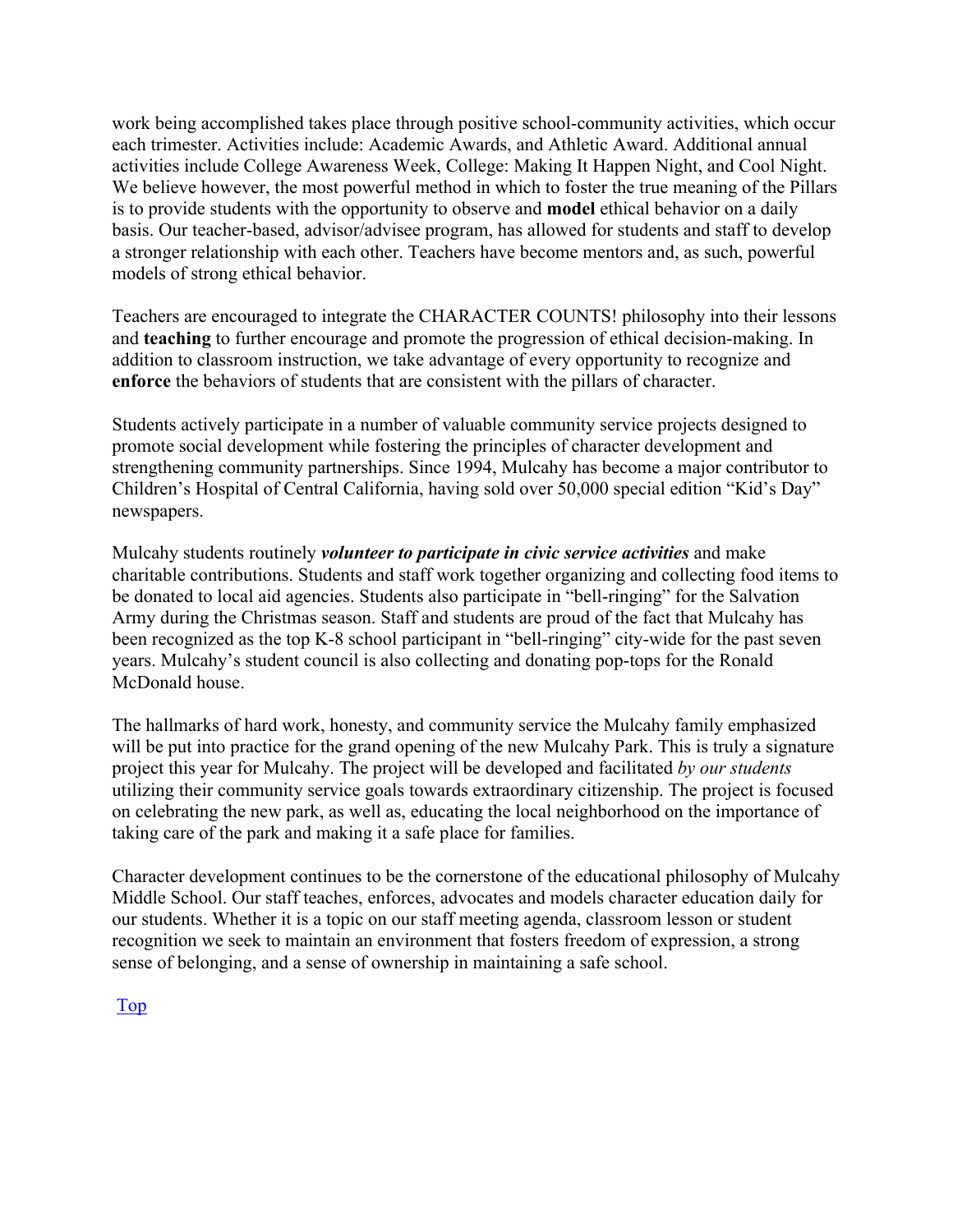work being accomplished takes place through positive school-community activities, which occur each trimester. Activities include: Academic Awards, and Athletic Award. Additional annual activities include College Awareness Week, College: Making It Happen Night, and Cool Night. We believe however, the most powerful method in which to foster the true meaning of the Pillars is to provide students with the opportunity to observe and **model** ethical behavior on a daily basis. Our teacher-based, advisor/advisee program, has allowed for students and staff to develop a stronger relationship with each other. Teachers have become mentors and, as such, powerful models of strong ethical behavior.

Teachers are encouraged to integrate the CHARACTER COUNTS! philosophy into their lessons and **teaching** to further encourage and promote the progression of ethical decision-making. In addition to classroom instruction, we take advantage of every opportunity to recognize and **enforce** the behaviors of students that are consistent with the pillars of character.

Students actively participate in a number of valuable community service projects designed to promote social development while fostering the principles of character development and strengthening community partnerships. Since 1994, Mulcahy has become a major contributor to Children's Hospital of Central California, having sold over 50,000 special edition "Kid's Day" newspapers.

Mulcahy students routinely *volunteer to participate in civic service activities* and make charitable contributions. Students and staff work together organizing and collecting food items to be donated to local aid agencies. Students also participate in "bell-ringing" for the Salvation Army during the Christmas season. Staff and students are proud of the fact that Mulcahy has been recognized as the top K-8 school participant in "bell-ringing" city-wide for the past seven years. Mulcahy's student council is also collecting and donating pop-tops for the Ronald McDonald house.

The hallmarks of hard work, honesty, and community service the Mulcahy family emphasized will be put into practice for the grand opening of the new Mulcahy Park. This is truly a signature project this year for Mulcahy. The project will be developed and facilitated *by our students* utilizing their community service goals towards extraordinary citizenship. The project is focused on celebrating the new park, as well as, educating the local neighborhood on the importance of taking care of the park and making it a safe place for families.

Character development continues to be the cornerstone of the educational philosophy of Mulcahy Middle School. Our staff teaches, enforces, advocates and models character education daily for our students. Whether it is a topic on our staff meeting agenda, classroom lesson or student recognition we seek to maintain an environment that fosters freedom of expression, a strong sense of belonging, and a sense of ownership in maintaining a safe school.

Top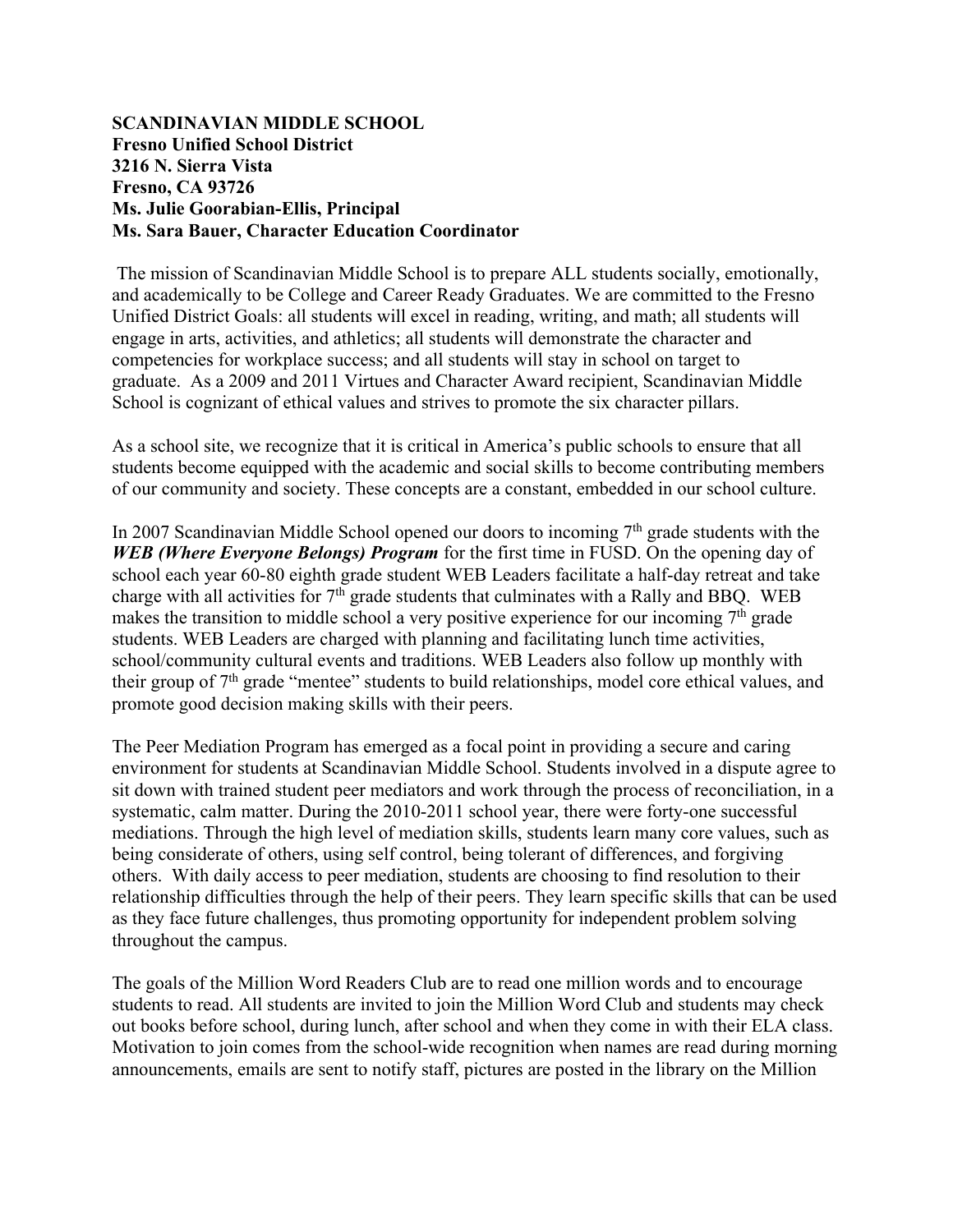#### **SCANDINAVIAN MIDDLE SCHOOL Fresno Unified School District 3216 N. Sierra Vista Fresno, CA 93726 Ms. Julie Goorabian-Ellis, Principal Ms. Sara Bauer, Character Education Coordinator**

The mission of Scandinavian Middle School is to prepare ALL students socially, emotionally, and academically to be College and Career Ready Graduates. We are committed to the Fresno Unified District Goals: all students will excel in reading, writing, and math; all students will engage in arts, activities, and athletics; all students will demonstrate the character and competencies for workplace success; and all students will stay in school on target to graduate. As a 2009 and 2011 Virtues and Character Award recipient, Scandinavian Middle School is cognizant of ethical values and strives to promote the six character pillars.

As a school site, we recognize that it is critical in America's public schools to ensure that all students become equipped with the academic and social skills to become contributing members of our community and society. These concepts are a constant, embedded in our school culture.

In 2007 Scandinavian Middle School opened our doors to incoming  $7<sup>th</sup>$  grade students with the *WEB (Where Everyone Belongs) Program* for the first time in FUSD. On the opening day of school each year 60-80 eighth grade student WEB Leaders facilitate a half-day retreat and take charge with all activities for 7<sup>th</sup> grade students that culminates with a Rally and BBQ. WEB makes the transition to middle school a very positive experience for our incoming  $7<sup>th</sup>$  grade students. WEB Leaders are charged with planning and facilitating lunch time activities, school/community cultural events and traditions. WEB Leaders also follow up monthly with their group of  $7<sup>th</sup>$  grade "mentee" students to build relationships, model core ethical values, and promote good decision making skills with their peers.

The Peer Mediation Program has emerged as a focal point in providing a secure and caring environment for students at Scandinavian Middle School. Students involved in a dispute agree to sit down with trained student peer mediators and work through the process of reconciliation, in a systematic, calm matter. During the 2010-2011 school year, there were forty-one successful mediations. Through the high level of mediation skills, students learn many core values, such as being considerate of others, using self control, being tolerant of differences, and forgiving others. With daily access to peer mediation, students are choosing to find resolution to their relationship difficulties through the help of their peers. They learn specific skills that can be used as they face future challenges, thus promoting opportunity for independent problem solving throughout the campus.

The goals of the Million Word Readers Club are to read one million words and to encourage students to read. All students are invited to join the Million Word Club and students may check out books before school, during lunch, after school and when they come in with their ELA class. Motivation to join comes from the school-wide recognition when names are read during morning announcements, emails are sent to notify staff, pictures are posted in the library on the Million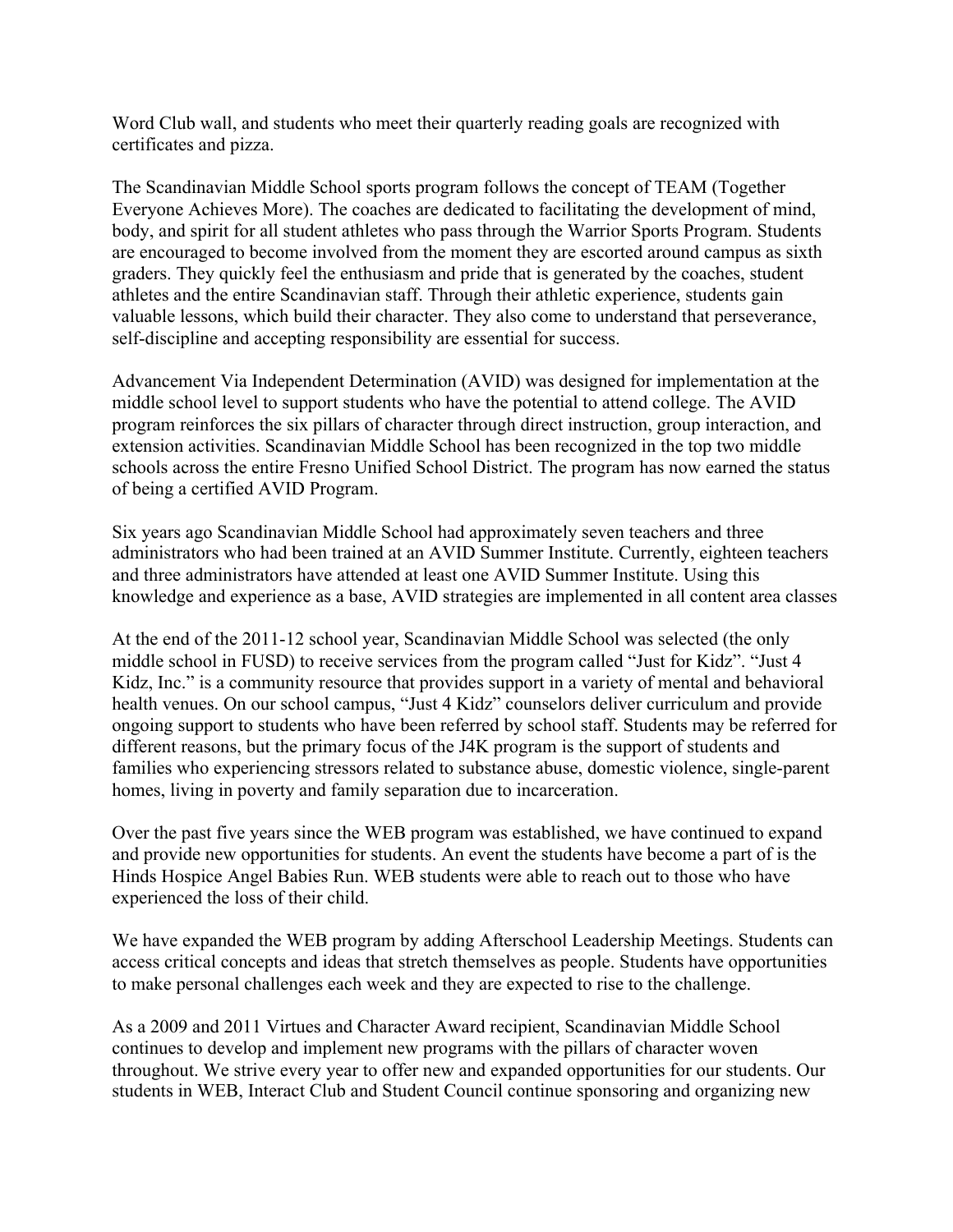Word Club wall, and students who meet their quarterly reading goals are recognized with certificates and pizza.

The Scandinavian Middle School sports program follows the concept of TEAM (Together Everyone Achieves More). The coaches are dedicated to facilitating the development of mind, body, and spirit for all student athletes who pass through the Warrior Sports Program. Students are encouraged to become involved from the moment they are escorted around campus as sixth graders. They quickly feel the enthusiasm and pride that is generated by the coaches, student athletes and the entire Scandinavian staff. Through their athletic experience, students gain valuable lessons, which build their character. They also come to understand that perseverance, self-discipline and accepting responsibility are essential for success.

Advancement Via Independent Determination (AVID) was designed for implementation at the middle school level to support students who have the potential to attend college. The AVID program reinforces the six pillars of character through direct instruction, group interaction, and extension activities. Scandinavian Middle School has been recognized in the top two middle schools across the entire Fresno Unified School District. The program has now earned the status of being a certified AVID Program.

Six years ago Scandinavian Middle School had approximately seven teachers and three administrators who had been trained at an AVID Summer Institute. Currently, eighteen teachers and three administrators have attended at least one AVID Summer Institute. Using this knowledge and experience as a base, AVID strategies are implemented in all content area classes

At the end of the 2011-12 school year, Scandinavian Middle School was selected (the only middle school in FUSD) to receive services from the program called "Just for Kidz". "Just 4 Kidz, Inc." is a community resource that provides support in a variety of mental and behavioral health venues. On our school campus, "Just 4 Kidz" counselors deliver curriculum and provide ongoing support to students who have been referred by school staff. Students may be referred for different reasons, but the primary focus of the J4K program is the support of students and families who experiencing stressors related to substance abuse, domestic violence, single-parent homes, living in poverty and family separation due to incarceration.

Over the past five years since the WEB program was established, we have continued to expand and provide new opportunities for students. An event the students have become a part of is the Hinds Hospice Angel Babies Run. WEB students were able to reach out to those who have experienced the loss of their child.

We have expanded the WEB program by adding Afterschool Leadership Meetings. Students can access critical concepts and ideas that stretch themselves as people. Students have opportunities to make personal challenges each week and they are expected to rise to the challenge.

As a 2009 and 2011 Virtues and Character Award recipient, Scandinavian Middle School continues to develop and implement new programs with the pillars of character woven throughout. We strive every year to offer new and expanded opportunities for our students. Our students in WEB, Interact Club and Student Council continue sponsoring and organizing new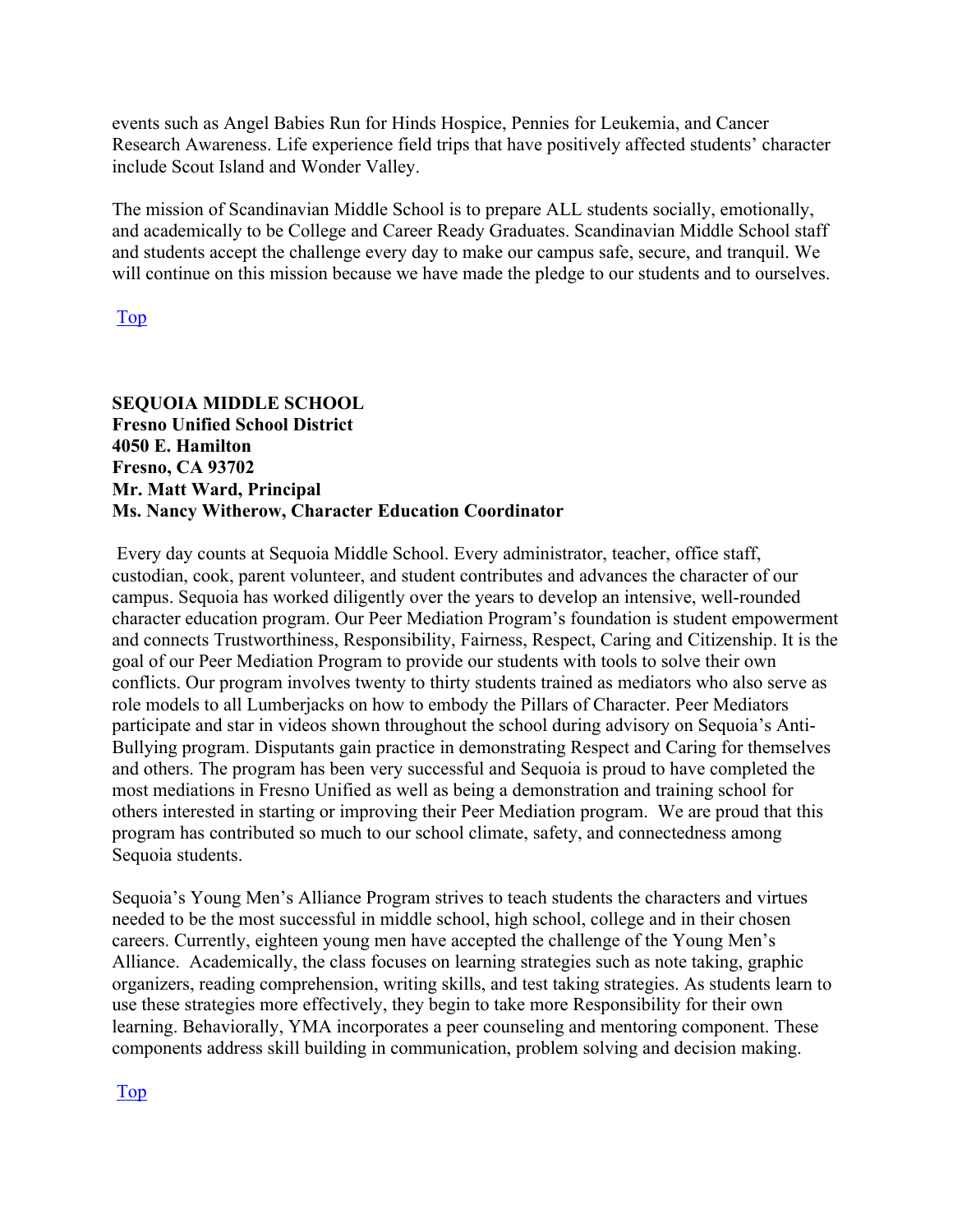events such as Angel Babies Run for Hinds Hospice, Pennies for Leukemia, and Cancer Research Awareness. Life experience field trips that have positively affected students' character include Scout Island and Wonder Valley.

The mission of Scandinavian Middle School is to prepare ALL students socially, emotionally, and academically to be College and Career Ready Graduates. Scandinavian Middle School staff and students accept the challenge every day to make our campus safe, secure, and tranquil. We will continue on this mission because we have made the pledge to our students and to ourselves.

Top

#### **SEQUOIA MIDDLE SCHOOL Fresno Unified School District 4050 E. Hamilton Fresno, CA 93702 Mr. Matt Ward, Principal Ms. Nancy Witherow, Character Education Coordinator**

Every day counts at Sequoia Middle School. Every administrator, teacher, office staff, custodian, cook, parent volunteer, and student contributes and advances the character of our campus. Sequoia has worked diligently over the years to develop an intensive, well-rounded character education program. Our Peer Mediation Program's foundation is student empowerment and connects Trustworthiness, Responsibility, Fairness, Respect, Caring and Citizenship. It is the goal of our Peer Mediation Program to provide our students with tools to solve their own conflicts. Our program involves twenty to thirty students trained as mediators who also serve as role models to all Lumberjacks on how to embody the Pillars of Character. Peer Mediators participate and star in videos shown throughout the school during advisory on Sequoia's Anti-Bullying program. Disputants gain practice in demonstrating Respect and Caring for themselves and others. The program has been very successful and Sequoia is proud to have completed the most mediations in Fresno Unified as well as being a demonstration and training school for others interested in starting or improving their Peer Mediation program. We are proud that this program has contributed so much to our school climate, safety, and connectedness among Sequoia students.

Sequoia's Young Men's Alliance Program strives to teach students the characters and virtues needed to be the most successful in middle school, high school, college and in their chosen careers. Currently, eighteen young men have accepted the challenge of the Young Men's Alliance. Academically, the class focuses on learning strategies such as note taking, graphic organizers, reading comprehension, writing skills, and test taking strategies. As students learn to use these strategies more effectively, they begin to take more Responsibility for their own learning. Behaviorally, YMA incorporates a peer counseling and mentoring component. These components address skill building in communication, problem solving and decision making.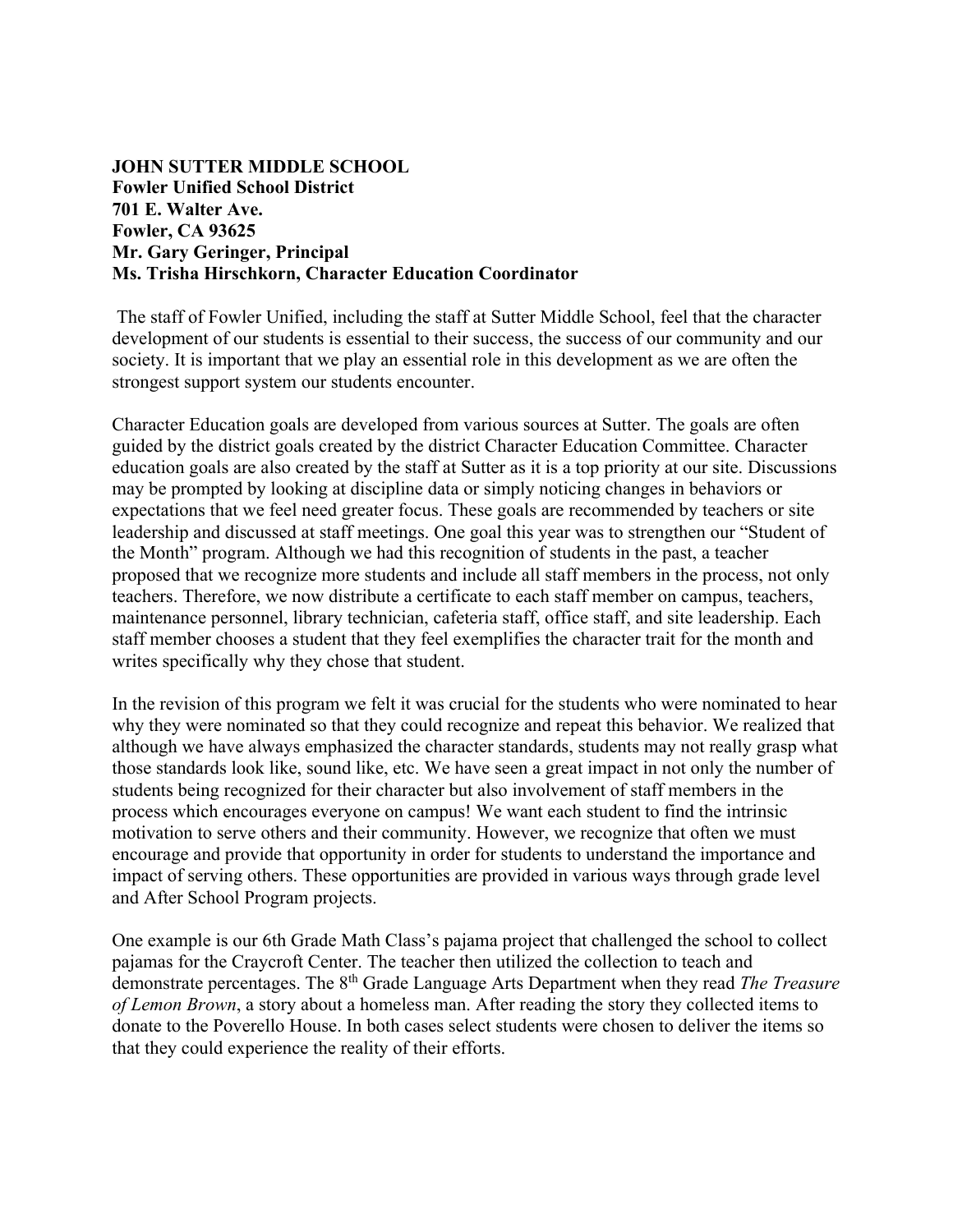#### **JOHN SUTTER MIDDLE SCHOOL Fowler Unified School District 701 E. Walter Ave. Fowler, CA 93625 Mr. Gary Geringer, Principal Ms. Trisha Hirschkorn, Character Education Coordinator**

The staff of Fowler Unified, including the staff at Sutter Middle School, feel that the character development of our students is essential to their success, the success of our community and our society. It is important that we play an essential role in this development as we are often the strongest support system our students encounter.

Character Education goals are developed from various sources at Sutter. The goals are often guided by the district goals created by the district Character Education Committee. Character education goals are also created by the staff at Sutter as it is a top priority at our site. Discussions may be prompted by looking at discipline data or simply noticing changes in behaviors or expectations that we feel need greater focus. These goals are recommended by teachers or site leadership and discussed at staff meetings. One goal this year was to strengthen our "Student of the Month" program. Although we had this recognition of students in the past, a teacher proposed that we recognize more students and include all staff members in the process, not only teachers. Therefore, we now distribute a certificate to each staff member on campus, teachers, maintenance personnel, library technician, cafeteria staff, office staff, and site leadership. Each staff member chooses a student that they feel exemplifies the character trait for the month and writes specifically why they chose that student.

In the revision of this program we felt it was crucial for the students who were nominated to hear why they were nominated so that they could recognize and repeat this behavior. We realized that although we have always emphasized the character standards, students may not really grasp what those standards look like, sound like, etc. We have seen a great impact in not only the number of students being recognized for their character but also involvement of staff members in the process which encourages everyone on campus! We want each student to find the intrinsic motivation to serve others and their community. However, we recognize that often we must encourage and provide that opportunity in order for students to understand the importance and impact of serving others. These opportunities are provided in various ways through grade level and After School Program projects.

One example is our 6th Grade Math Class's pajama project that challenged the school to collect pajamas for the Craycroft Center. The teacher then utilized the collection to teach and demonstrate percentages. The 8th Grade Language Arts Department when they read *The Treasure of Lemon Brown*, a story about a homeless man. After reading the story they collected items to donate to the Poverello House. In both cases select students were chosen to deliver the items so that they could experience the reality of their efforts.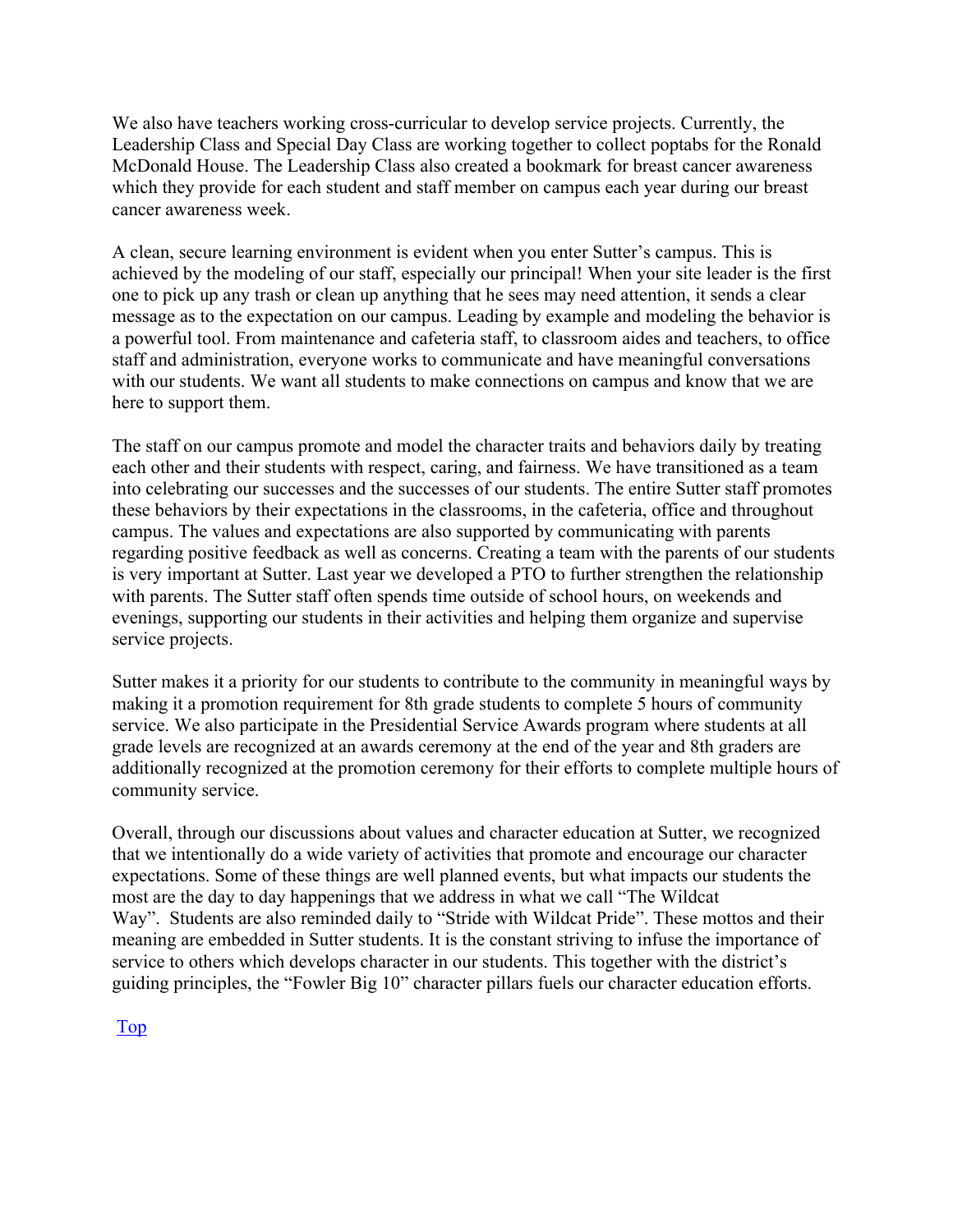We also have teachers working cross-curricular to develop service projects. Currently, the Leadership Class and Special Day Class are working together to collect poptabs for the Ronald McDonald House. The Leadership Class also created a bookmark for breast cancer awareness which they provide for each student and staff member on campus each year during our breast cancer awareness week.

A clean, secure learning environment is evident when you enter Sutter's campus. This is achieved by the modeling of our staff, especially our principal! When your site leader is the first one to pick up any trash or clean up anything that he sees may need attention, it sends a clear message as to the expectation on our campus. Leading by example and modeling the behavior is a powerful tool. From maintenance and cafeteria staff, to classroom aides and teachers, to office staff and administration, everyone works to communicate and have meaningful conversations with our students. We want all students to make connections on campus and know that we are here to support them.

The staff on our campus promote and model the character traits and behaviors daily by treating each other and their students with respect, caring, and fairness. We have transitioned as a team into celebrating our successes and the successes of our students. The entire Sutter staff promotes these behaviors by their expectations in the classrooms, in the cafeteria, office and throughout campus. The values and expectations are also supported by communicating with parents regarding positive feedback as well as concerns. Creating a team with the parents of our students is very important at Sutter. Last year we developed a PTO to further strengthen the relationship with parents. The Sutter staff often spends time outside of school hours, on weekends and evenings, supporting our students in their activities and helping them organize and supervise service projects.

Sutter makes it a priority for our students to contribute to the community in meaningful ways by making it a promotion requirement for 8th grade students to complete 5 hours of community service. We also participate in the Presidential Service Awards program where students at all grade levels are recognized at an awards ceremony at the end of the year and 8th graders are additionally recognized at the promotion ceremony for their efforts to complete multiple hours of community service.

Overall, through our discussions about values and character education at Sutter, we recognized that we intentionally do a wide variety of activities that promote and encourage our character expectations. Some of these things are well planned events, but what impacts our students the most are the day to day happenings that we address in what we call "The Wildcat Way". Students are also reminded daily to "Stride with Wildcat Pride". These mottos and their meaning are embedded in Sutter students. It is the constant striving to infuse the importance of service to others which develops character in our students. This together with the district's guiding principles, the "Fowler Big 10" character pillars fuels our character education efforts.

Top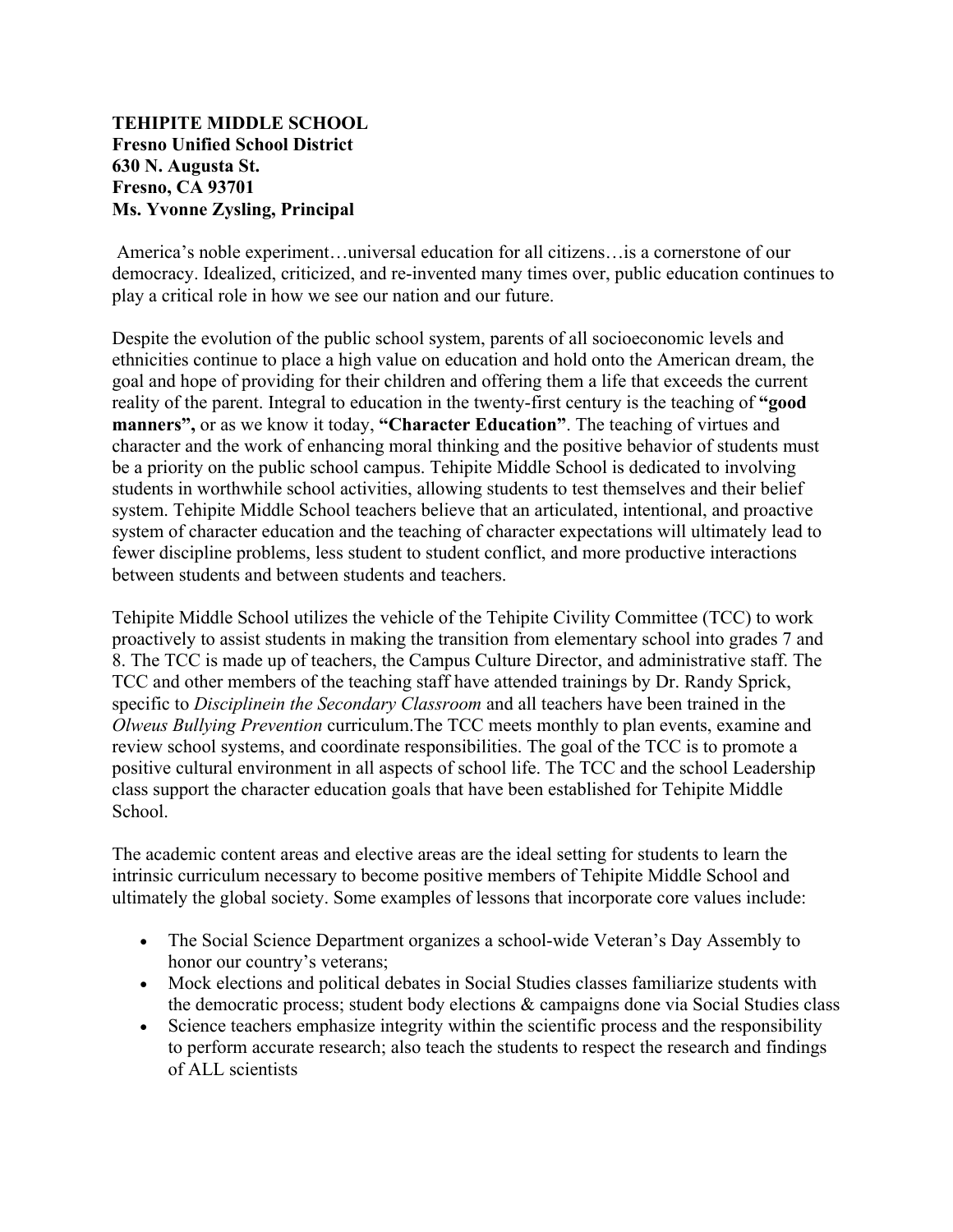#### **TEHIPITE MIDDLE SCHOOL Fresno Unified School District 630 N. Augusta St. Fresno, CA 93701 Ms. Yvonne Zysling, Principal**

America's noble experiment…universal education for all citizens…is a cornerstone of our democracy. Idealized, criticized, and re-invented many times over, public education continues to play a critical role in how we see our nation and our future.

Despite the evolution of the public school system, parents of all socioeconomic levels and ethnicities continue to place a high value on education and hold onto the American dream, the goal and hope of providing for their children and offering them a life that exceeds the current reality of the parent. Integral to education in the twenty-first century is the teaching of **"good manners",** or as we know it today, **"Character Education"**. The teaching of virtues and character and the work of enhancing moral thinking and the positive behavior of students must be a priority on the public school campus. Tehipite Middle School is dedicated to involving students in worthwhile school activities, allowing students to test themselves and their belief system. Tehipite Middle School teachers believe that an articulated, intentional, and proactive system of character education and the teaching of character expectations will ultimately lead to fewer discipline problems, less student to student conflict, and more productive interactions between students and between students and teachers.

Tehipite Middle School utilizes the vehicle of the Tehipite Civility Committee (TCC) to work proactively to assist students in making the transition from elementary school into grades 7 and 8. The TCC is made up of teachers, the Campus Culture Director, and administrative staff. The TCC and other members of the teaching staff have attended trainings by Dr. Randy Sprick, specific to *Disciplinein the Secondary Classroom* and all teachers have been trained in the *Olweus Bullying Prevention* curriculum.The TCC meets monthly to plan events, examine and review school systems, and coordinate responsibilities. The goal of the TCC is to promote a positive cultural environment in all aspects of school life. The TCC and the school Leadership class support the character education goals that have been established for Tehipite Middle School.

The academic content areas and elective areas are the ideal setting for students to learn the intrinsic curriculum necessary to become positive members of Tehipite Middle School and ultimately the global society. Some examples of lessons that incorporate core values include:

- The Social Science Department organizes a school-wide Veteran's Day Assembly to honor our country's veterans;
- Mock elections and political debates in Social Studies classes familiarize students with the democratic process; student body elections & campaigns done via Social Studies class
- Science teachers emphasize integrity within the scientific process and the responsibility to perform accurate research; also teach the students to respect the research and findings of ALL scientists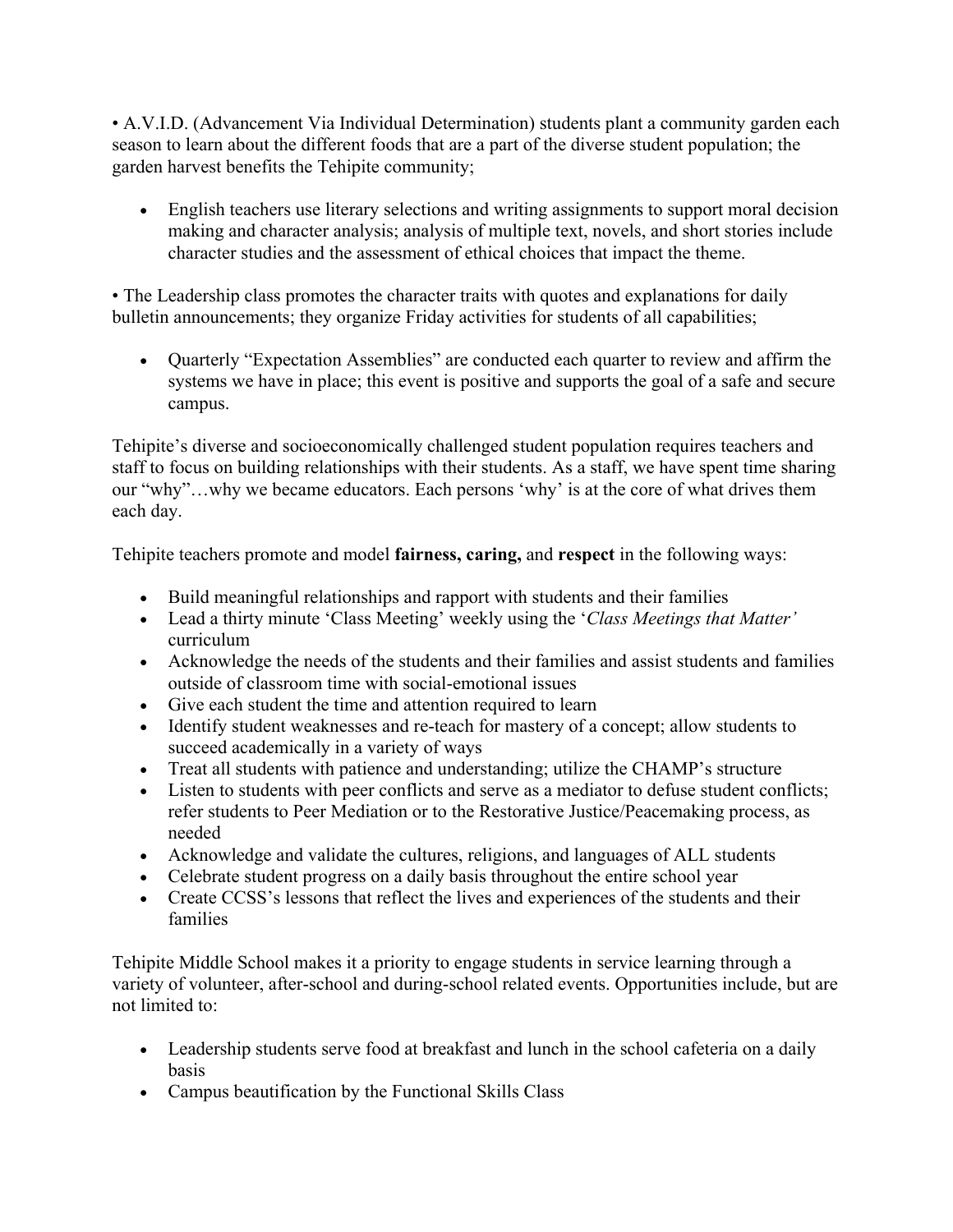• A.V.I.D. (Advancement Via Individual Determination) students plant a community garden each season to learn about the different foods that are a part of the diverse student population; the garden harvest benefits the Tehipite community;

• English teachers use literary selections and writing assignments to support moral decision making and character analysis; analysis of multiple text, novels, and short stories include character studies and the assessment of ethical choices that impact the theme.

• The Leadership class promotes the character traits with quotes and explanations for daily bulletin announcements; they organize Friday activities for students of all capabilities;

• Quarterly "Expectation Assemblies" are conducted each quarter to review and affirm the systems we have in place; this event is positive and supports the goal of a safe and secure campus.

Tehipite's diverse and socioeconomically challenged student population requires teachers and staff to focus on building relationships with their students. As a staff, we have spent time sharing our "why"…why we became educators. Each persons 'why' is at the core of what drives them each day.

Tehipite teachers promote and model **fairness, caring,** and **respect** in the following ways:

- Build meaningful relationships and rapport with students and their families
- Lead a thirty minute 'Class Meeting' weekly using the '*Class Meetings that Matter'*  curriculum
- Acknowledge the needs of the students and their families and assist students and families outside of classroom time with social-emotional issues
- Give each student the time and attention required to learn
- Identify student weaknesses and re-teach for mastery of a concept; allow students to succeed academically in a variety of ways
- Treat all students with patience and understanding; utilize the CHAMP's structure
- Listen to students with peer conflicts and serve as a mediator to defuse student conflicts; refer students to Peer Mediation or to the Restorative Justice/Peacemaking process, as needed
- Acknowledge and validate the cultures, religions, and languages of ALL students
- Celebrate student progress on a daily basis throughout the entire school year
- Create CCSS's lessons that reflect the lives and experiences of the students and their families

Tehipite Middle School makes it a priority to engage students in service learning through a variety of volunteer, after-school and during-school related events. Opportunities include, but are not limited to:

- Leadership students serve food at breakfast and lunch in the school cafeteria on a daily basis
- Campus beautification by the Functional Skills Class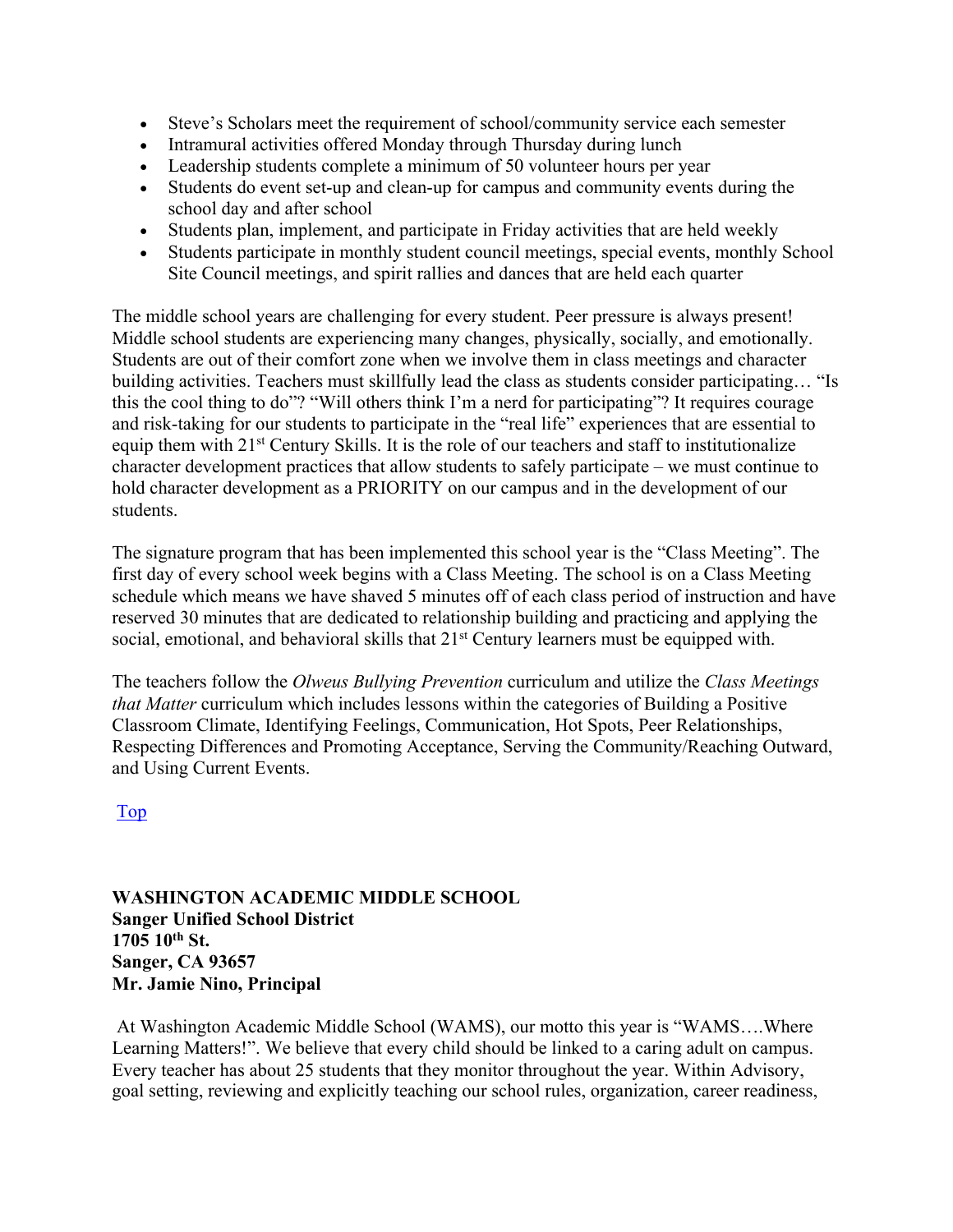- Steve's Scholars meet the requirement of school/community service each semester
- Intramural activities offered Monday through Thursday during lunch
- Leadership students complete a minimum of 50 volunteer hours per year
- Students do event set-up and clean-up for campus and community events during the school day and after school
- Students plan, implement, and participate in Friday activities that are held weekly
- Students participate in monthly student council meetings, special events, monthly School Site Council meetings, and spirit rallies and dances that are held each quarter

The middle school years are challenging for every student. Peer pressure is always present! Middle school students are experiencing many changes, physically, socially, and emotionally. Students are out of their comfort zone when we involve them in class meetings and character building activities. Teachers must skillfully lead the class as students consider participating… "Is this the cool thing to do"? "Will others think I'm a nerd for participating"? It requires courage and risk-taking for our students to participate in the "real life" experiences that are essential to equip them with 21<sup>st</sup> Century Skills. It is the role of our teachers and staff to institutionalize character development practices that allow students to safely participate – we must continue to hold character development as a PRIORITY on our campus and in the development of our students.

The signature program that has been implemented this school year is the "Class Meeting". The first day of every school week begins with a Class Meeting. The school is on a Class Meeting schedule which means we have shaved 5 minutes off of each class period of instruction and have reserved 30 minutes that are dedicated to relationship building and practicing and applying the social, emotional, and behavioral skills that 21<sup>st</sup> Century learners must be equipped with.

The teachers follow the *Olweus Bullying Prevention* curriculum and utilize the *Class Meetings that Matter* curriculum which includes lessons within the categories of Building a Positive Classroom Climate, Identifying Feelings, Communication, Hot Spots, Peer Relationships, Respecting Differences and Promoting Acceptance, Serving the Community/Reaching Outward, and Using Current Events.

Top

#### **WASHINGTON ACADEMIC MIDDLE SCHOOL Sanger Unified School District 1705 10th St. Sanger, CA 93657 Mr. Jamie Nino, Principal**

At Washington Academic Middle School (WAMS), our motto this year is "WAMS….Where Learning Matters!". We believe that every child should be linked to a caring adult on campus. Every teacher has about 25 students that they monitor throughout the year. Within Advisory, goal setting, reviewing and explicitly teaching our school rules, organization, career readiness,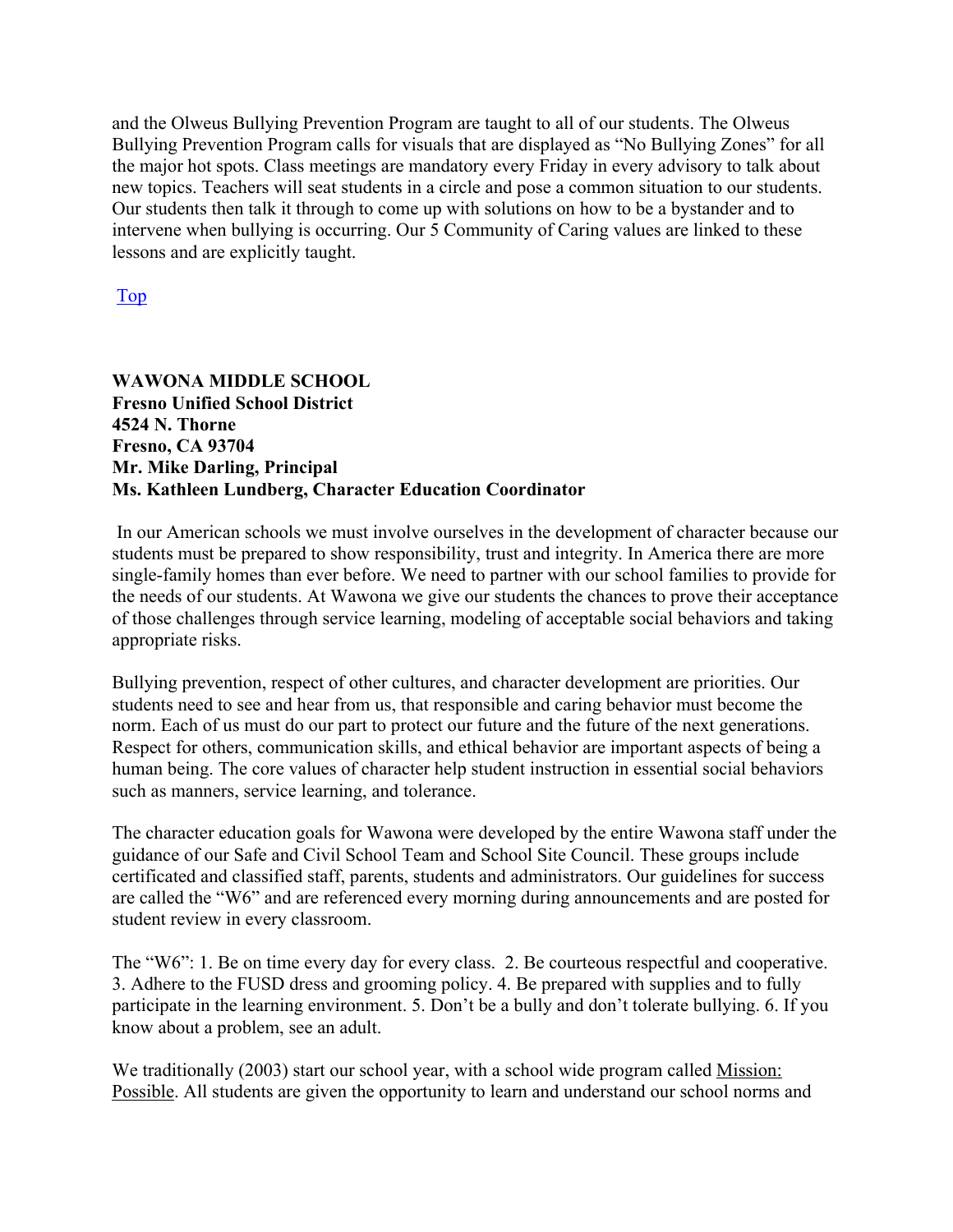and the Olweus Bullying Prevention Program are taught to all of our students. The Olweus Bullying Prevention Program calls for visuals that are displayed as "No Bullying Zones" for all the major hot spots. Class meetings are mandatory every Friday in every advisory to talk about new topics. Teachers will seat students in a circle and pose a common situation to our students. Our students then talk it through to come up with solutions on how to be a bystander and to intervene when bullying is occurring. Our 5 Community of Caring values are linked to these lessons and are explicitly taught.

Top

#### **WAWONA MIDDLE SCHOOL Fresno Unified School District 4524 N. Thorne Fresno, CA 93704 Mr. Mike Darling, Principal Ms. Kathleen Lundberg, Character Education Coordinator**

In our American schools we must involve ourselves in the development of character because our students must be prepared to show responsibility, trust and integrity. In America there are more single-family homes than ever before. We need to partner with our school families to provide for the needs of our students. At Wawona we give our students the chances to prove their acceptance of those challenges through service learning, modeling of acceptable social behaviors and taking appropriate risks.

Bullying prevention, respect of other cultures, and character development are priorities. Our students need to see and hear from us, that responsible and caring behavior must become the norm. Each of us must do our part to protect our future and the future of the next generations. Respect for others, communication skills, and ethical behavior are important aspects of being a human being. The core values of character help student instruction in essential social behaviors such as manners, service learning, and tolerance.

The character education goals for Wawona were developed by the entire Wawona staff under the guidance of our Safe and Civil School Team and School Site Council. These groups include certificated and classified staff, parents, students and administrators. Our guidelines for success are called the "W6" and are referenced every morning during announcements and are posted for student review in every classroom.

The "W6": 1. Be on time every day for every class. 2. Be courteous respectful and cooperative. 3. Adhere to the FUSD dress and grooming policy. 4. Be prepared with supplies and to fully participate in the learning environment. 5. Don't be a bully and don't tolerate bullying. 6. If you know about a problem, see an adult.

We traditionally (2003) start our school year, with a school wide program called Mission: Possible. All students are given the opportunity to learn and understand our school norms and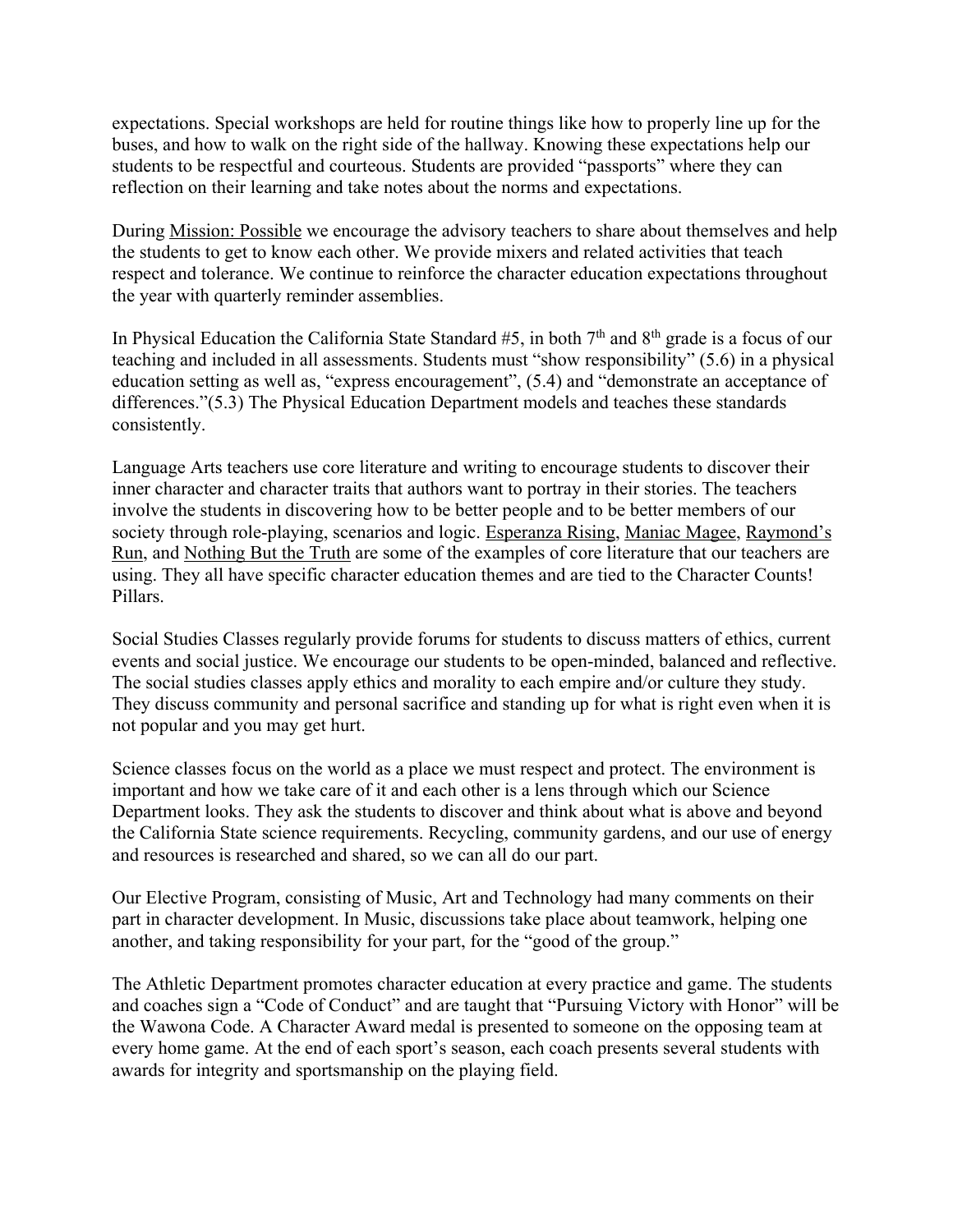expectations. Special workshops are held for routine things like how to properly line up for the buses, and how to walk on the right side of the hallway. Knowing these expectations help our students to be respectful and courteous. Students are provided "passports" where they can reflection on their learning and take notes about the norms and expectations.

During Mission: Possible we encourage the advisory teachers to share about themselves and help the students to get to know each other. We provide mixers and related activities that teach respect and tolerance. We continue to reinforce the character education expectations throughout the year with quarterly reminder assemblies.

In Physical Education the California State Standard  $#5$ , in both  $7<sup>th</sup>$  and  $8<sup>th</sup>$  grade is a focus of our teaching and included in all assessments. Students must "show responsibility" (5.6) in a physical education setting as well as, "express encouragement", (5.4) and "demonstrate an acceptance of differences."(5.3) The Physical Education Department models and teaches these standards consistently.

Language Arts teachers use core literature and writing to encourage students to discover their inner character and character traits that authors want to portray in their stories. The teachers involve the students in discovering how to be better people and to be better members of our society through role-playing, scenarios and logic. Esperanza Rising, Maniac Magee, Raymond's Run, and Nothing But the Truth are some of the examples of core literature that our teachers are using. They all have specific character education themes and are tied to the Character Counts! Pillars.

Social Studies Classes regularly provide forums for students to discuss matters of ethics, current events and social justice. We encourage our students to be open-minded, balanced and reflective. The social studies classes apply ethics and morality to each empire and/or culture they study. They discuss community and personal sacrifice and standing up for what is right even when it is not popular and you may get hurt.

Science classes focus on the world as a place we must respect and protect. The environment is important and how we take care of it and each other is a lens through which our Science Department looks. They ask the students to discover and think about what is above and beyond the California State science requirements. Recycling, community gardens, and our use of energy and resources is researched and shared, so we can all do our part.

Our Elective Program, consisting of Music, Art and Technology had many comments on their part in character development. In Music, discussions take place about teamwork, helping one another, and taking responsibility for your part, for the "good of the group."

The Athletic Department promotes character education at every practice and game. The students and coaches sign a "Code of Conduct" and are taught that "Pursuing Victory with Honor" will be the Wawona Code. A Character Award medal is presented to someone on the opposing team at every home game. At the end of each sport's season, each coach presents several students with awards for integrity and sportsmanship on the playing field.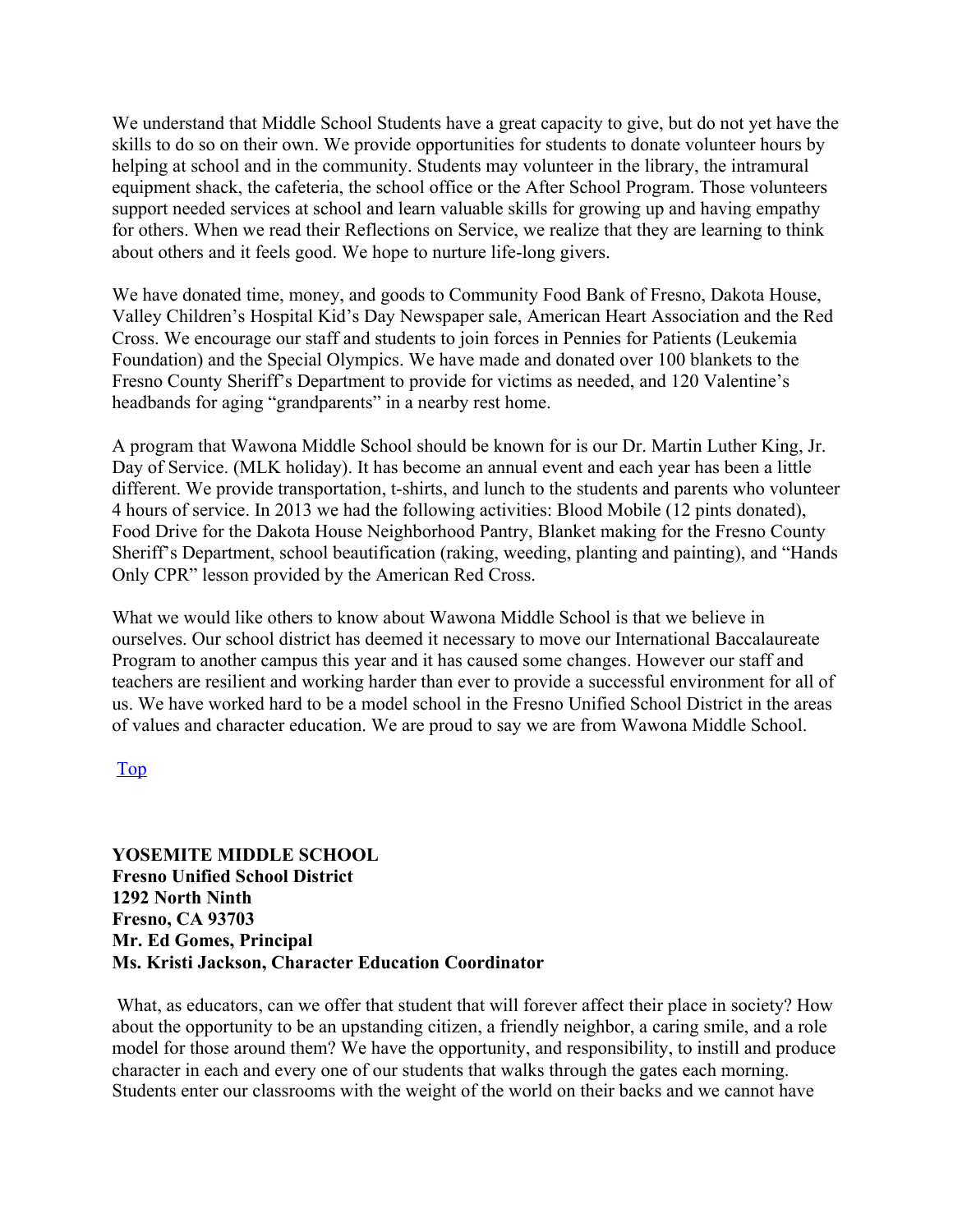We understand that Middle School Students have a great capacity to give, but do not yet have the skills to do so on their own. We provide opportunities for students to donate volunteer hours by helping at school and in the community. Students may volunteer in the library, the intramural equipment shack, the cafeteria, the school office or the After School Program. Those volunteers support needed services at school and learn valuable skills for growing up and having empathy for others. When we read their Reflections on Service, we realize that they are learning to think about others and it feels good. We hope to nurture life-long givers.

We have donated time, money, and goods to Community Food Bank of Fresno, Dakota House, Valley Children's Hospital Kid's Day Newspaper sale, American Heart Association and the Red Cross. We encourage our staff and students to join forces in Pennies for Patients (Leukemia Foundation) and the Special Olympics. We have made and donated over 100 blankets to the Fresno County Sheriff's Department to provide for victims as needed, and 120 Valentine's headbands for aging "grandparents" in a nearby rest home.

A program that Wawona Middle School should be known for is our Dr. Martin Luther King, Jr. Day of Service. (MLK holiday). It has become an annual event and each year has been a little different. We provide transportation, t-shirts, and lunch to the students and parents who volunteer 4 hours of service. In 2013 we had the following activities: Blood Mobile (12 pints donated), Food Drive for the Dakota House Neighborhood Pantry, Blanket making for the Fresno County Sheriff's Department, school beautification (raking, weeding, planting and painting), and "Hands Only CPR" lesson provided by the American Red Cross.

What we would like others to know about Wawona Middle School is that we believe in ourselves. Our school district has deemed it necessary to move our International Baccalaureate Program to another campus this year and it has caused some changes. However our staff and teachers are resilient and working harder than ever to provide a successful environment for all of us. We have worked hard to be a model school in the Fresno Unified School District in the areas of values and character education. We are proud to say we are from Wawona Middle School.

#### Top

**YOSEMITE MIDDLE SCHOOL Fresno Unified School District 1292 North Ninth Fresno, CA 93703 Mr. Ed Gomes, Principal Ms. Kristi Jackson, Character Education Coordinator**

What, as educators, can we offer that student that will forever affect their place in society? How about the opportunity to be an upstanding citizen, a friendly neighbor, a caring smile, and a role model for those around them? We have the opportunity, and responsibility, to instill and produce character in each and every one of our students that walks through the gates each morning. Students enter our classrooms with the weight of the world on their backs and we cannot have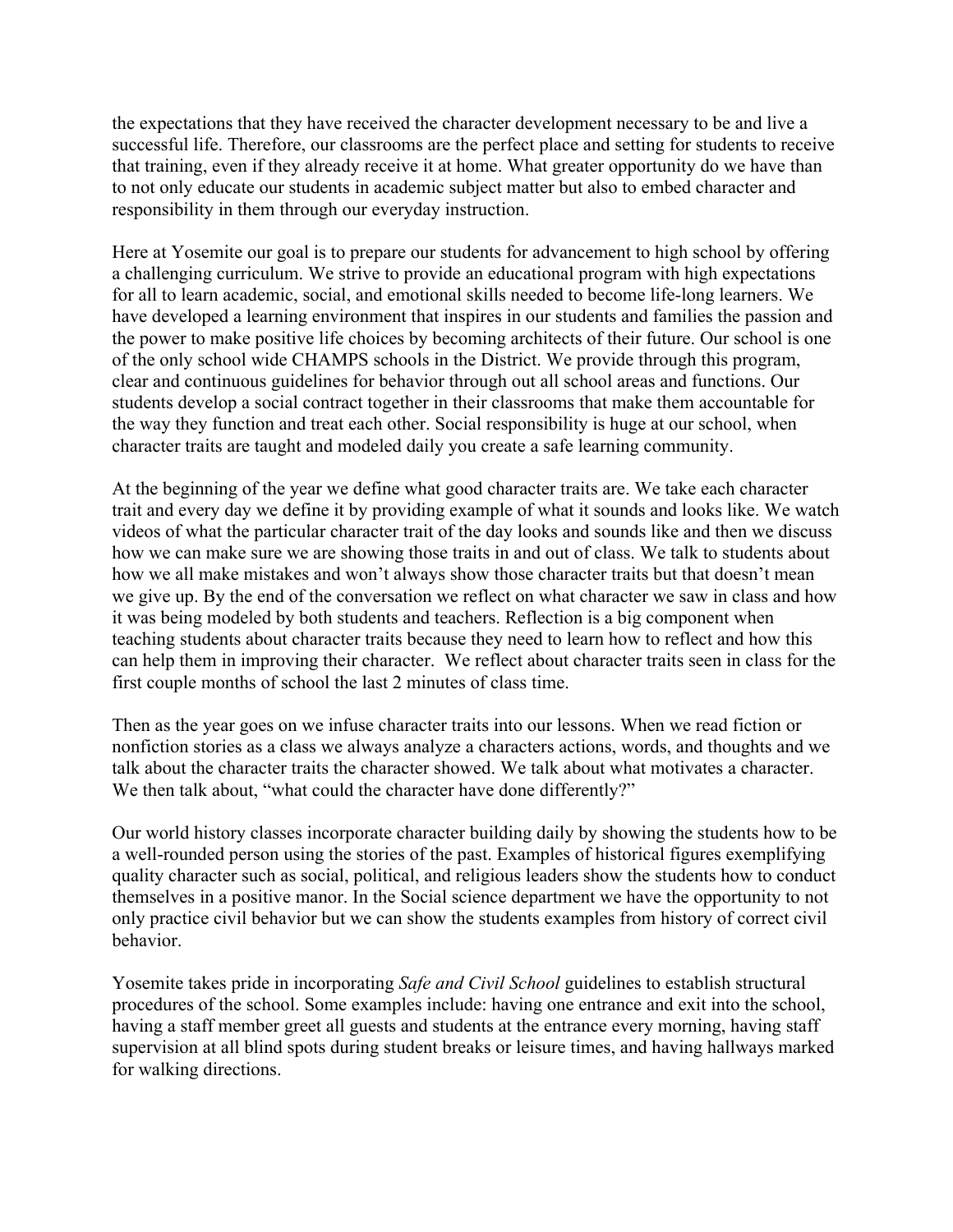the expectations that they have received the character development necessary to be and live a successful life. Therefore, our classrooms are the perfect place and setting for students to receive that training, even if they already receive it at home. What greater opportunity do we have than to not only educate our students in academic subject matter but also to embed character and responsibility in them through our everyday instruction.

Here at Yosemite our goal is to prepare our students for advancement to high school by offering a challenging curriculum. We strive to provide an educational program with high expectations for all to learn academic, social, and emotional skills needed to become life-long learners. We have developed a learning environment that inspires in our students and families the passion and the power to make positive life choices by becoming architects of their future. Our school is one of the only school wide CHAMPS schools in the District. We provide through this program, clear and continuous guidelines for behavior through out all school areas and functions. Our students develop a social contract together in their classrooms that make them accountable for the way they function and treat each other. Social responsibility is huge at our school, when character traits are taught and modeled daily you create a safe learning community.

At the beginning of the year we define what good character traits are. We take each character trait and every day we define it by providing example of what it sounds and looks like. We watch videos of what the particular character trait of the day looks and sounds like and then we discuss how we can make sure we are showing those traits in and out of class. We talk to students about how we all make mistakes and won't always show those character traits but that doesn't mean we give up. By the end of the conversation we reflect on what character we saw in class and how it was being modeled by both students and teachers. Reflection is a big component when teaching students about character traits because they need to learn how to reflect and how this can help them in improving their character. We reflect about character traits seen in class for the first couple months of school the last 2 minutes of class time.

Then as the year goes on we infuse character traits into our lessons. When we read fiction or nonfiction stories as a class we always analyze a characters actions, words, and thoughts and we talk about the character traits the character showed. We talk about what motivates a character. We then talk about, "what could the character have done differently?"

Our world history classes incorporate character building daily by showing the students how to be a well-rounded person using the stories of the past. Examples of historical figures exemplifying quality character such as social, political, and religious leaders show the students how to conduct themselves in a positive manor. In the Social science department we have the opportunity to not only practice civil behavior but we can show the students examples from history of correct civil behavior.

Yosemite takes pride in incorporating *Safe and Civil School* guidelines to establish structural procedures of the school. Some examples include: having one entrance and exit into the school, having a staff member greet all guests and students at the entrance every morning, having staff supervision at all blind spots during student breaks or leisure times, and having hallways marked for walking directions.